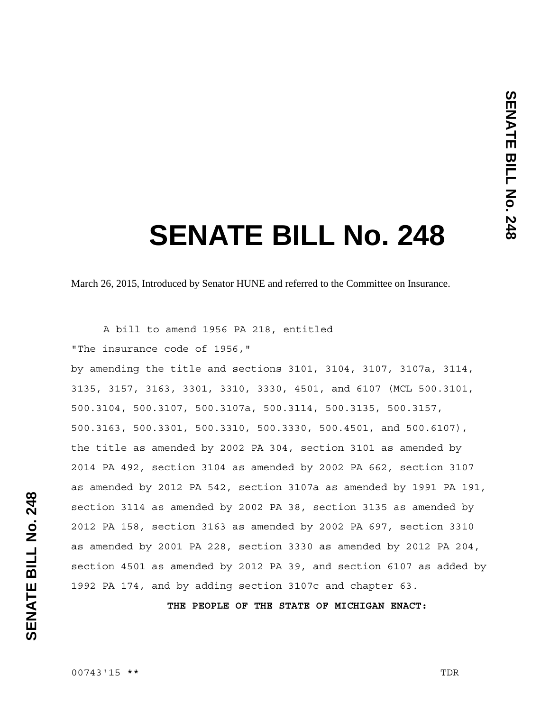# **SENATE BILL No. 248**

March 26, 2015, Introduced by Senator HUNE and referred to the Committee on Insurance.

 A bill to amend 1956 PA 218, entitled "The insurance code of 1956,"

by amending the title and sections 3101, 3104, 3107, 3107a, 3114, 3135, 3157, 3163, 3301, 3310, 3330, 4501, and 6107 (MCL 500.3101, 500.3104, 500.3107, 500.3107a, 500.3114, 500.3135, 500.3157, 500.3163, 500.3301, 500.3310, 500.3330, 500.4501, and 500.6107), the title as amended by 2002 PA 304, section 3101 as amended by 2014 PA 492, section 3104 as amended by 2002 PA 662, section 3107 as amended by 2012 PA 542, section 3107a as amended by 1991 PA 191, section 3114 as amended by 2002 PA 38, section 3135 as amended by 2012 PA 158, section 3163 as amended by 2002 PA 697, section 3310 as amended by 2001 PA 228, section 3330 as amended by 2012 PA 204, section 4501 as amended by 2012 PA 39, and section 6107 as added by 1992 PA 174, and by adding section 3107c and chapter 63.

**THE PEOPLE OF THE STATE OF MICHIGAN ENACT:**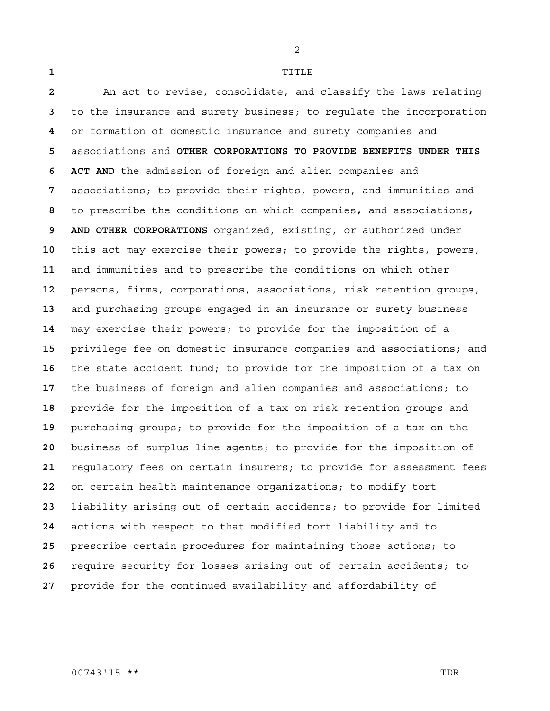TITLE

An act to revise, consolidate, and classify the laws relating to the insurance and surety business; to regulate the incorporation or formation of domestic insurance and surety companies and associations and **OTHER CORPORATIONS TO PROVIDE BENEFITS UNDER THIS 6 ACT AND** the admission of foreign and alien companies and associations; to provide their rights, powers, and immunities and to prescribe the conditions on which companies**,** and associations**, 9 AND OTHER CORPORATIONS** organized, existing, or authorized under this act may exercise their powers; to provide the rights, powers, and immunities and to prescribe the conditions on which other persons, firms, corporations, associations, risk retention groups, and purchasing groups engaged in an insurance or surety business may exercise their powers; to provide for the imposition of a privilege fee on domestic insurance companies and associations**;** and **the state accident fund;** to provide for the imposition of a tax on the business of foreign and alien companies and associations; to provide for the imposition of a tax on risk retention groups and purchasing groups; to provide for the imposition of a tax on the business of surplus line agents; to provide for the imposition of regulatory fees on certain insurers; to provide for assessment fees on certain health maintenance organizations; to modify tort liability arising out of certain accidents; to provide for limited actions with respect to that modified tort liability and to prescribe certain procedures for maintaining those actions; to require security for losses arising out of certain accidents; to provide for the continued availability and affordability of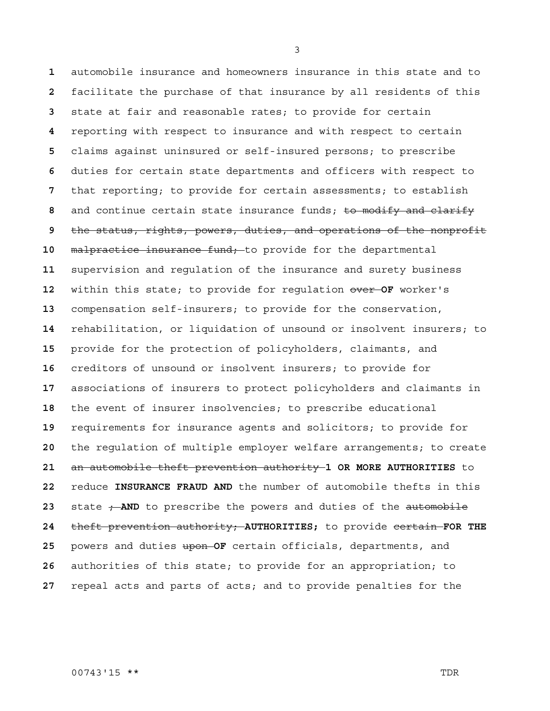automobile insurance and homeowners insurance in this state and to facilitate the purchase of that insurance by all residents of this state at fair and reasonable rates; to provide for certain reporting with respect to insurance and with respect to certain claims against uninsured or self-insured persons; to prescribe duties for certain state departments and officers with respect to that reporting; to provide for certain assessments; to establish and continue certain state insurance funds; to modify and clarify the status, rights, powers, duties, and operations of the nonprofit malpractice insurance fund; to provide for the departmental supervision and regulation of the insurance and surety business within this state; to provide for regulation over **OF** worker's compensation self-insurers; to provide for the conservation, rehabilitation, or liquidation of unsound or insolvent insurers; to provide for the protection of policyholders, claimants, and creditors of unsound or insolvent insurers; to provide for associations of insurers to protect policyholders and claimants in the event of insurer insolvencies; to prescribe educational requirements for insurance agents and solicitors; to provide for the regulation of multiple employer welfare arrangements; to create an automobile theft prevention authority **1 OR MORE AUTHORITIES** to reduce **INSURANCE FRAUD AND** the number of automobile thefts in this 23 state  $\div$ -AND to prescribe the powers and duties of the automobile theft prevention authority; **AUTHORITIES;** to provide certain **FOR THE**  powers and duties upon **OF** certain officials, departments, and authorities of this state; to provide for an appropriation; to repeal acts and parts of acts; and to provide penalties for the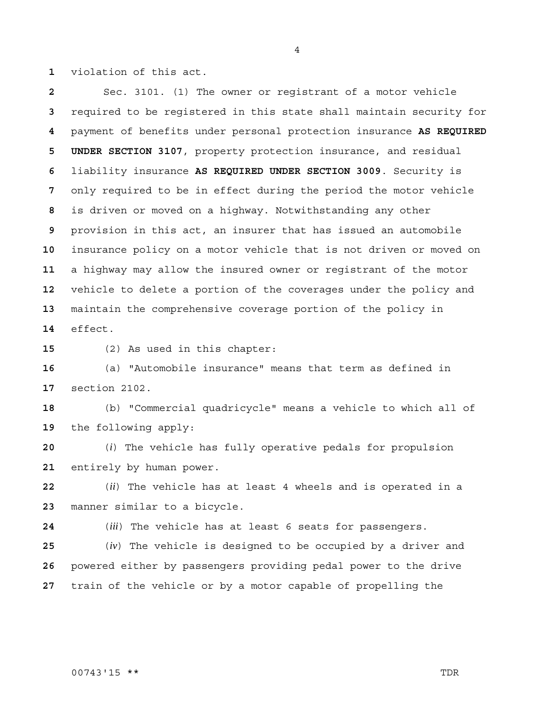violation of this act.

Sec. 3101. (1) The owner or registrant of a motor vehicle required to be registered in this state shall maintain security for payment of benefits under personal protection insurance **AS REQUIRED 5 UNDER SECTION 3107**, property protection insurance, and residual liability insurance **AS REQUIRED UNDER SECTION 3009**. Security is only required to be in effect during the period the motor vehicle is driven or moved on a highway. Notwithstanding any other provision in this act, an insurer that has issued an automobile insurance policy on a motor vehicle that is not driven or moved on a highway may allow the insured owner or registrant of the motor vehicle to delete a portion of the coverages under the policy and maintain the comprehensive coverage portion of the policy in effect.

(2) As used in this chapter:

(a) "Automobile insurance" means that term as defined in section 2102.

(b) "Commercial quadricycle" means a vehicle to which all of the following apply:

(*i*) The vehicle has fully operative pedals for propulsion entirely by human power.

(*ii*) The vehicle has at least 4 wheels and is operated in a manner similar to a bicycle.

(*iii*) The vehicle has at least 6 seats for passengers.

(*iv*) The vehicle is designed to be occupied by a driver and powered either by passengers providing pedal power to the drive train of the vehicle or by a motor capable of propelling the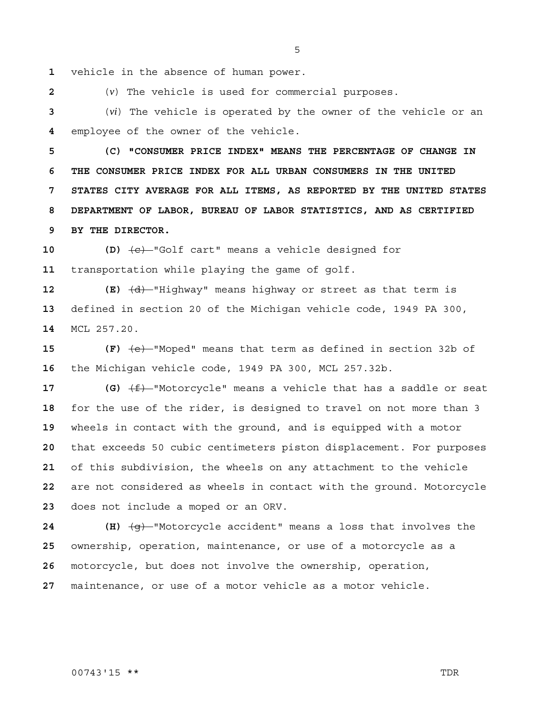vehicle in the absence of human power.

(*v*) The vehicle is used for commercial purposes.

(*vi*) The vehicle is operated by the owner of the vehicle or an employee of the owner of the vehicle.

**5 (C) "CONSUMER PRICE INDEX" MEANS THE PERCENTAGE OF CHANGE IN 6 THE CONSUMER PRICE INDEX FOR ALL URBAN CONSUMERS IN THE UNITED 7 STATES CITY AVERAGE FOR ALL ITEMS, AS REPORTED BY THE UNITED STATES 8 DEPARTMENT OF LABOR, BUREAU OF LABOR STATISTICS, AND AS CERTIFIED 9 BY THE DIRECTOR.**

**10 (D)** (c) "Golf cart" means a vehicle designed for transportation while playing the game of golf.

**12 (E)**  $\overline{d}$  <sup>-</sup>Highway" means highway or street as that term is defined in section 20 of the Michigan vehicle code, 1949 PA 300, MCL 257.20.

**15 (F)** (e) "Moped" means that term as defined in section 32b of the Michigan vehicle code, 1949 PA 300, MCL 257.32b.

 **(G)**  $\left(\frac{f}{f}\right)$ -"Motorcycle" means a vehicle that has a saddle or seat for the use of the rider, is designed to travel on not more than 3 wheels in contact with the ground, and is equipped with a motor that exceeds 50 cubic centimeters piston displacement. For purposes of this subdivision, the wheels on any attachment to the vehicle are not considered as wheels in contact with the ground. Motorcycle does not include a moped or an ORV.

**24 (H)** (g) "Motorcycle accident" means a loss that involves the ownership, operation, maintenance, or use of a motorcycle as a motorcycle, but does not involve the ownership, operation, maintenance, or use of a motor vehicle as a motor vehicle.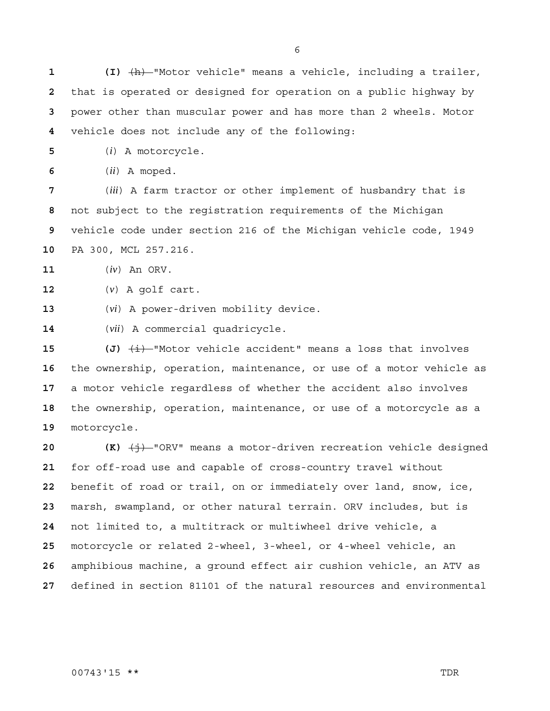**1 (I)** (h) "Motor vehicle" means a vehicle, including a trailer, that is operated or designed for operation on a public highway by power other than muscular power and has more than 2 wheels. Motor vehicle does not include any of the following:

(*i*) A motorcycle.

(*ii*) A moped.

(*iii*) A farm tractor or other implement of husbandry that is not subject to the registration requirements of the Michigan vehicle code under section 216 of the Michigan vehicle code, 1949 PA 300, MCL 257.216.

(*iv*) An ORV.

(*v*) A golf cart.

(*vi*) A power-driven mobility device.

(*vii*) A commercial quadricycle.

 (J)  $\frac{1}{2}$  (J)  $\frac{1}{2}$  Motor vehicle accident" means a loss that involves the ownership, operation, maintenance, or use of a motor vehicle as a motor vehicle regardless of whether the accident also involves the ownership, operation, maintenance, or use of a motorcycle as a motorcycle.

 **(K)**  $\left(\frac{1}{2}\right)$  "ORV" means a motor-driven recreation vehicle designed for off-road use and capable of cross-country travel without benefit of road or trail, on or immediately over land, snow, ice, marsh, swampland, or other natural terrain. ORV includes, but is not limited to, a multitrack or multiwheel drive vehicle, a motorcycle or related 2-wheel, 3-wheel, or 4-wheel vehicle, an amphibious machine, a ground effect air cushion vehicle, an ATV as defined in section 81101 of the natural resources and environmental

### 00743'15 \*\* TDR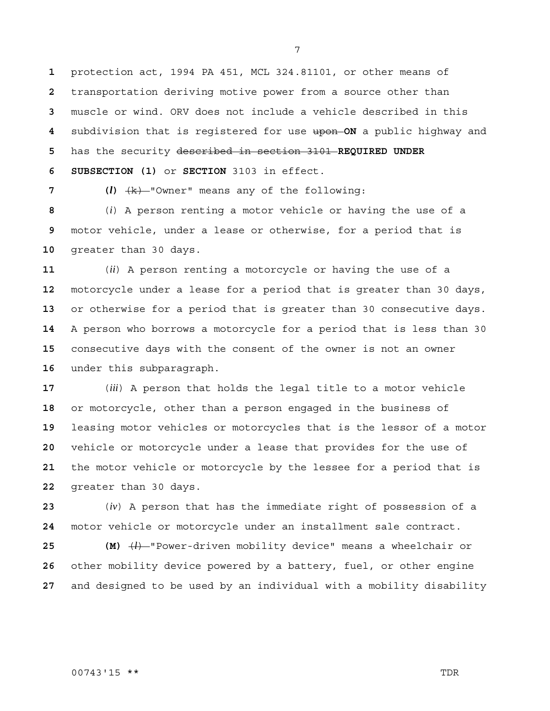protection act, 1994 PA 451, MCL 324.81101, or other means of transportation deriving motive power from a source other than muscle or wind. ORV does not include a vehicle described in this subdivision that is registered for use upon **ON** a public highway and has the security described in section 3101 **REQUIRED UNDER 6 SUBSECTION (1)** or **SECTION** 3103 in effect.

**7 (***l***)** (k) "Owner" means any of the following:

(*i*) A person renting a motor vehicle or having the use of a motor vehicle, under a lease or otherwise, for a period that is greater than 30 days.

(*ii*) A person renting a motorcycle or having the use of a motorcycle under a lease for a period that is greater than 30 days, or otherwise for a period that is greater than 30 consecutive days. A person who borrows a motorcycle for a period that is less than 30 consecutive days with the consent of the owner is not an owner under this subparagraph.

(*iii*) A person that holds the legal title to a motor vehicle or motorcycle, other than a person engaged in the business of leasing motor vehicles or motorcycles that is the lessor of a motor vehicle or motorcycle under a lease that provides for the use of the motor vehicle or motorcycle by the lessee for a period that is greater than 30 days.

(*iv*) A person that has the immediate right of possession of a motor vehicle or motorcycle under an installment sale contract.

**25 (M)** (*l*) "Power-driven mobility device" means a wheelchair or other mobility device powered by a battery, fuel, or other engine and designed to be used by an individual with a mobility disability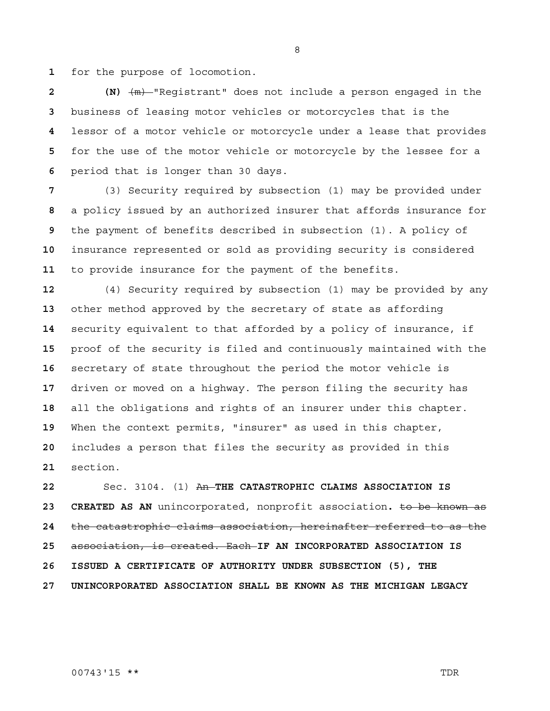for the purpose of locomotion.

**2 (N)** (m) "Registrant" does not include a person engaged in the business of leasing motor vehicles or motorcycles that is the lessor of a motor vehicle or motorcycle under a lease that provides for the use of the motor vehicle or motorcycle by the lessee for a period that is longer than 30 days.

(3) Security required by subsection (1) may be provided under a policy issued by an authorized insurer that affords insurance for the payment of benefits described in subsection (1). A policy of insurance represented or sold as providing security is considered to provide insurance for the payment of the benefits.

(4) Security required by subsection (1) may be provided by any other method approved by the secretary of state as affording security equivalent to that afforded by a policy of insurance, if proof of the security is filed and continuously maintained with the secretary of state throughout the period the motor vehicle is driven or moved on a highway. The person filing the security has all the obligations and rights of an insurer under this chapter. When the context permits, "insurer" as used in this chapter, includes a person that files the security as provided in this section.

Sec. 3104. (1) An **THE CATASTROPHIC CLAIMS ASSOCIATION IS 23 CREATED AS AN** unincorporated, nonprofit association**.** to be known as the catastrophic claims association, hereinafter referred to as the association, is created. Each **IF AN INCORPORATED ASSOCIATION IS 26 ISSUED A CERTIFICATE OF AUTHORITY UNDER SUBSECTION (5), THE 27 UNINCORPORATED ASSOCIATION SHALL BE KNOWN AS THE MICHIGAN LEGACY**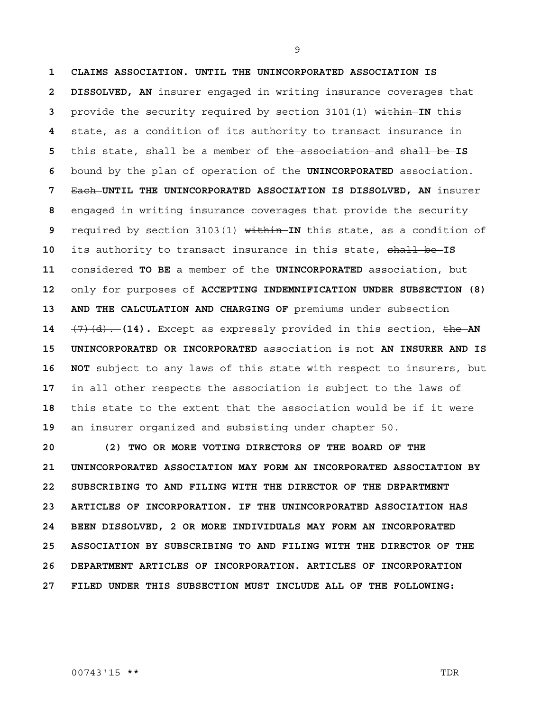**1 CLAIMS ASSOCIATION. UNTIL THE UNINCORPORATED ASSOCIATION IS 2 DISSOLVED, AN** insurer engaged in writing insurance coverages that provide the security required by section 3101(1) within **IN** this state, as a condition of its authority to transact insurance in this state, shall be a member of the association and shall be **IS**  bound by the plan of operation of the **UNINCORPORATED** association. Each **UNTIL THE UNINCORPORATED ASSOCIATION IS DISSOLVED, AN** insurer engaged in writing insurance coverages that provide the security required by section 3103(1) within **IN** this state, as a condition of its authority to transact insurance in this state, shall be **IS**  considered **TO BE** a member of the **UNINCORPORATED** association, but only for purposes of **ACCEPTING INDEMNIFICATION UNDER SUBSECTION (8)**  13 AND THE CALCULATION AND CHARGING OF premiums under subsection (7)(d). **(14).** Except as expressly provided in this section, the **AN 15 UNINCORPORATED OR INCORPORATED** association is not **AN INSURER AND IS 16 NOT** subject to any laws of this state with respect to insurers, but in all other respects the association is subject to the laws of this state to the extent that the association would be if it were an insurer organized and subsisting under chapter 50.

**20 (2) TWO OR MORE VOTING DIRECTORS OF THE BOARD OF THE 21 UNINCORPORATED ASSOCIATION MAY FORM AN INCORPORATED ASSOCIATION BY 22 SUBSCRIBING TO AND FILING WITH THE DIRECTOR OF THE DEPARTMENT 23 ARTICLES OF INCORPORATION. IF THE UNINCORPORATED ASSOCIATION HAS 24 BEEN DISSOLVED, 2 OR MORE INDIVIDUALS MAY FORM AN INCORPORATED 25 ASSOCIATION BY SUBSCRIBING TO AND FILING WITH THE DIRECTOR OF THE 26 DEPARTMENT ARTICLES OF INCORPORATION. ARTICLES OF INCORPORATION 27 FILED UNDER THIS SUBSECTION MUST INCLUDE ALL OF THE FOLLOWING:**

00743'15 \*\* TDR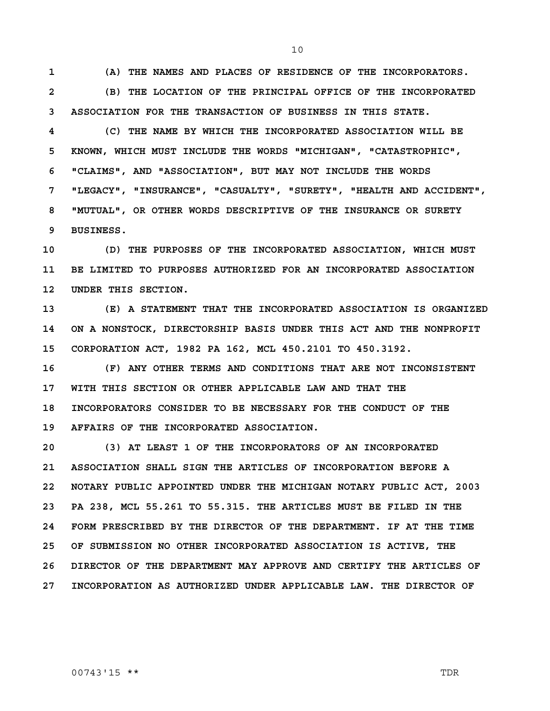**1 (A) THE NAMES AND PLACES OF RESIDENCE OF THE INCORPORATORS.**

**2 (B) THE LOCATION OF THE PRINCIPAL OFFICE OF THE INCORPORATED 3 ASSOCIATION FOR THE TRANSACTION OF BUSINESS IN THIS STATE.**

**4 (C) THE NAME BY WHICH THE INCORPORATED ASSOCIATION WILL BE 5 KNOWN, WHICH MUST INCLUDE THE WORDS "MICHIGAN", "CATASTROPHIC", 6 "CLAIMS", AND "ASSOCIATION", BUT MAY NOT INCLUDE THE WORDS 7 "LEGACY", "INSURANCE", "CASUALTY", "SURETY", "HEALTH AND ACCIDENT", 8 "MUTUAL", OR OTHER WORDS DESCRIPTIVE OF THE INSURANCE OR SURETY 9 BUSINESS.**

**10 (D) THE PURPOSES OF THE INCORPORATED ASSOCIATION, WHICH MUST 11 BE LIMITED TO PURPOSES AUTHORIZED FOR AN INCORPORATED ASSOCIATION 12 UNDER THIS SECTION.**

**13 (E) A STATEMENT THAT THE INCORPORATED ASSOCIATION IS ORGANIZED 14 ON A NONSTOCK, DIRECTORSHIP BASIS UNDER THIS ACT AND THE NONPROFIT 15 CORPORATION ACT, 1982 PA 162, MCL 450.2101 TO 450.3192.**

**16 (F) ANY OTHER TERMS AND CONDITIONS THAT ARE NOT INCONSISTENT 17 WITH THIS SECTION OR OTHER APPLICABLE LAW AND THAT THE 18 INCORPORATORS CONSIDER TO BE NECESSARY FOR THE CONDUCT OF THE 19 AFFAIRS OF THE INCORPORATED ASSOCIATION.**

**20 (3) AT LEAST 1 OF THE INCORPORATORS OF AN INCORPORATED 21 ASSOCIATION SHALL SIGN THE ARTICLES OF INCORPORATION BEFORE A 22 NOTARY PUBLIC APPOINTED UNDER THE MICHIGAN NOTARY PUBLIC ACT, 2003 23 PA 238, MCL 55.261 TO 55.315. THE ARTICLES MUST BE FILED IN THE 24 FORM PRESCRIBED BY THE DIRECTOR OF THE DEPARTMENT. IF AT THE TIME 25 OF SUBMISSION NO OTHER INCORPORATED ASSOCIATION IS ACTIVE, THE 26 DIRECTOR OF THE DEPARTMENT MAY APPROVE AND CERTIFY THE ARTICLES OF 27 INCORPORATION AS AUTHORIZED UNDER APPLICABLE LAW. THE DIRECTOR OF**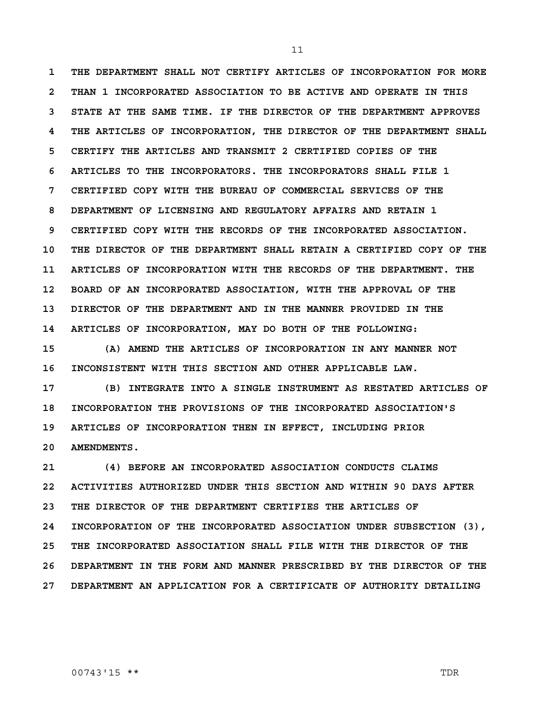**1 THE DEPARTMENT SHALL NOT CERTIFY ARTICLES OF INCORPORATION FOR MORE 2 THAN 1 INCORPORATED ASSOCIATION TO BE ACTIVE AND OPERATE IN THIS 3 STATE AT THE SAME TIME. IF THE DIRECTOR OF THE DEPARTMENT APPROVES 4 THE ARTICLES OF INCORPORATION, THE DIRECTOR OF THE DEPARTMENT SHALL 5 CERTIFY THE ARTICLES AND TRANSMIT 2 CERTIFIED COPIES OF THE 6 ARTICLES TO THE INCORPORATORS. THE INCORPORATORS SHALL FILE 1 7 CERTIFIED COPY WITH THE BUREAU OF COMMERCIAL SERVICES OF THE 8 DEPARTMENT OF LICENSING AND REGULATORY AFFAIRS AND RETAIN 1 9 CERTIFIED COPY WITH THE RECORDS OF THE INCORPORATED ASSOCIATION. 10 THE DIRECTOR OF THE DEPARTMENT SHALL RETAIN A CERTIFIED COPY OF THE 11 ARTICLES OF INCORPORATION WITH THE RECORDS OF THE DEPARTMENT. THE 12 BOARD OF AN INCORPORATED ASSOCIATION, WITH THE APPROVAL OF THE 13 DIRECTOR OF THE DEPARTMENT AND IN THE MANNER PROVIDED IN THE 14 ARTICLES OF INCORPORATION, MAY DO BOTH OF THE FOLLOWING:**

**15 (A) AMEND THE ARTICLES OF INCORPORATION IN ANY MANNER NOT 16 INCONSISTENT WITH THIS SECTION AND OTHER APPLICABLE LAW.**

**17 (B) INTEGRATE INTO A SINGLE INSTRUMENT AS RESTATED ARTICLES OF 18 INCORPORATION THE PROVISIONS OF THE INCORPORATED ASSOCIATION'S 19 ARTICLES OF INCORPORATION THEN IN EFFECT, INCLUDING PRIOR 20 AMENDMENTS.**

**21 (4) BEFORE AN INCORPORATED ASSOCIATION CONDUCTS CLAIMS 22 ACTIVITIES AUTHORIZED UNDER THIS SECTION AND WITHIN 90 DAYS AFTER 23 THE DIRECTOR OF THE DEPARTMENT CERTIFIES THE ARTICLES OF 24 INCORPORATION OF THE INCORPORATED ASSOCIATION UNDER SUBSECTION (3), 25 THE INCORPORATED ASSOCIATION SHALL FILE WITH THE DIRECTOR OF THE 26 DEPARTMENT IN THE FORM AND MANNER PRESCRIBED BY THE DIRECTOR OF THE 27 DEPARTMENT AN APPLICATION FOR A CERTIFICATE OF AUTHORITY DETAILING**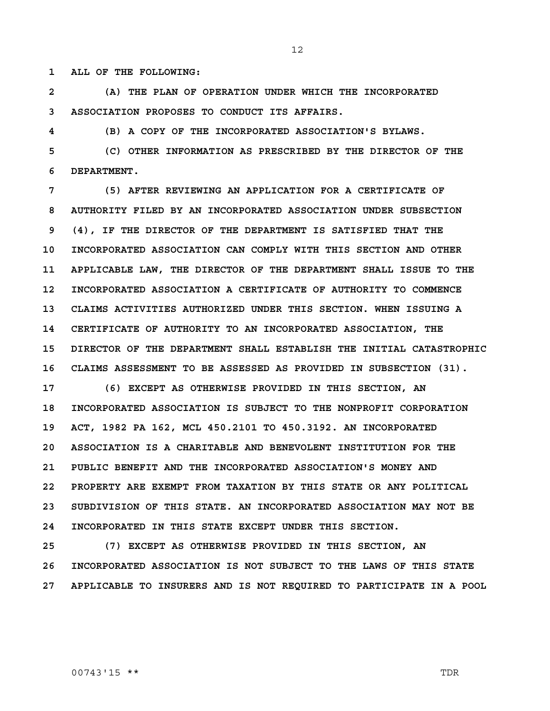**1 ALL OF THE FOLLOWING:**

**2 (A) THE PLAN OF OPERATION UNDER WHICH THE INCORPORATED 3 ASSOCIATION PROPOSES TO CONDUCT ITS AFFAIRS.**

**4 (B) A COPY OF THE INCORPORATED ASSOCIATION'S BYLAWS.**

**5 (C) OTHER INFORMATION AS PRESCRIBED BY THE DIRECTOR OF THE 6 DEPARTMENT.**

**7 (5) AFTER REVIEWING AN APPLICATION FOR A CERTIFICATE OF 8 AUTHORITY FILED BY AN INCORPORATED ASSOCIATION UNDER SUBSECTION 9 (4), IF THE DIRECTOR OF THE DEPARTMENT IS SATISFIED THAT THE 10 INCORPORATED ASSOCIATION CAN COMPLY WITH THIS SECTION AND OTHER 11 APPLICABLE LAW, THE DIRECTOR OF THE DEPARTMENT SHALL ISSUE TO THE 12 INCORPORATED ASSOCIATION A CERTIFICATE OF AUTHORITY TO COMMENCE 13 CLAIMS ACTIVITIES AUTHORIZED UNDER THIS SECTION. WHEN ISSUING A 14 CERTIFICATE OF AUTHORITY TO AN INCORPORATED ASSOCIATION, THE 15 DIRECTOR OF THE DEPARTMENT SHALL ESTABLISH THE INITIAL CATASTROPHIC 16 CLAIMS ASSESSMENT TO BE ASSESSED AS PROVIDED IN SUBSECTION (31).**

**17 (6) EXCEPT AS OTHERWISE PROVIDED IN THIS SECTION, AN 18 INCORPORATED ASSOCIATION IS SUBJECT TO THE NONPROFIT CORPORATION 19 ACT, 1982 PA 162, MCL 450.2101 TO 450.3192. AN INCORPORATED 20 ASSOCIATION IS A CHARITABLE AND BENEVOLENT INSTITUTION FOR THE 21 PUBLIC BENEFIT AND THE INCORPORATED ASSOCIATION'S MONEY AND 22 PROPERTY ARE EXEMPT FROM TAXATION BY THIS STATE OR ANY POLITICAL 23 SUBDIVISION OF THIS STATE. AN INCORPORATED ASSOCIATION MAY NOT BE 24 INCORPORATED IN THIS STATE EXCEPT UNDER THIS SECTION.**

**25 (7) EXCEPT AS OTHERWISE PROVIDED IN THIS SECTION, AN 26 INCORPORATED ASSOCIATION IS NOT SUBJECT TO THE LAWS OF THIS STATE 27 APPLICABLE TO INSURERS AND IS NOT REQUIRED TO PARTICIPATE IN A POOL** 

#### 00743'15 \*\* TDR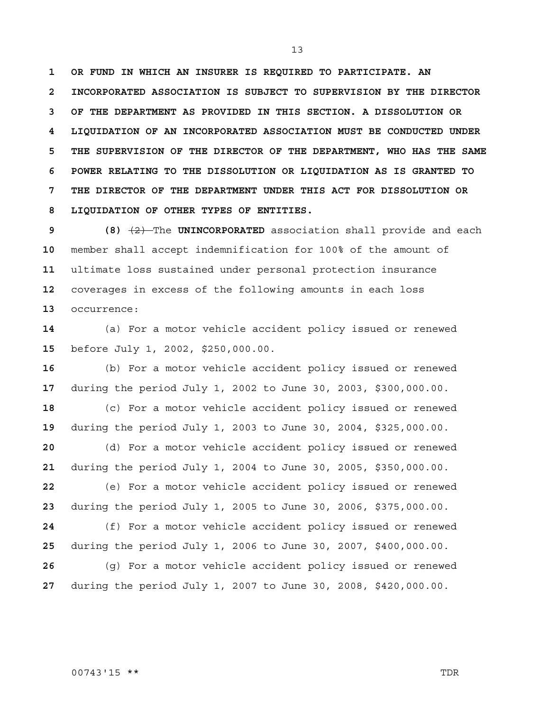**1 OR FUND IN WHICH AN INSURER IS REQUIRED TO PARTICIPATE. AN 2 INCORPORATED ASSOCIATION IS SUBJECT TO SUPERVISION BY THE DIRECTOR 3 OF THE DEPARTMENT AS PROVIDED IN THIS SECTION. A DISSOLUTION OR 4 LIQUIDATION OF AN INCORPORATED ASSOCIATION MUST BE CONDUCTED UNDER 5 THE SUPERVISION OF THE DIRECTOR OF THE DEPARTMENT, WHO HAS THE SAME 6 POWER RELATING TO THE DISSOLUTION OR LIQUIDATION AS IS GRANTED TO 7 THE DIRECTOR OF THE DEPARTMENT UNDER THIS ACT FOR DISSOLUTION OR 8 LIQUIDATION OF OTHER TYPES OF ENTITIES.**

**9 (8)** (2) The **UNINCORPORATED** association shall provide and each member shall accept indemnification for 100% of the amount of ultimate loss sustained under personal protection insurance coverages in excess of the following amounts in each loss occurrence:

(a) For a motor vehicle accident policy issued or renewed before July 1, 2002, \$250,000.00.

(b) For a motor vehicle accident policy issued or renewed during the period July 1, 2002 to June 30, 2003, \$300,000.00.

(c) For a motor vehicle accident policy issued or renewed during the period July 1, 2003 to June 30, 2004, \$325,000.00.

(d) For a motor vehicle accident policy issued or renewed during the period July 1, 2004 to June 30, 2005, \$350,000.00.

(e) For a motor vehicle accident policy issued or renewed during the period July 1, 2005 to June 30, 2006, \$375,000.00.

(f) For a motor vehicle accident policy issued or renewed during the period July 1, 2006 to June 30, 2007, \$400,000.00.

(g) For a motor vehicle accident policy issued or renewed during the period July 1, 2007 to June 30, 2008, \$420,000.00.

#### 00743'15 \*\* TDR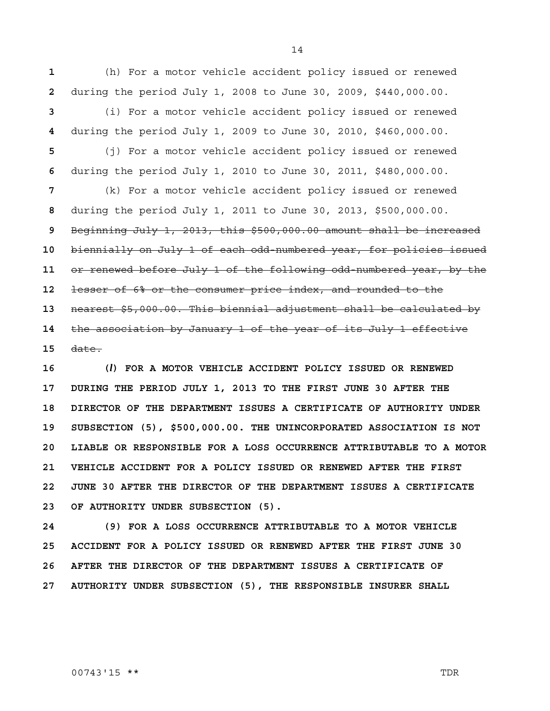**1** (h) For a motor vehicle accident policy issued or renewed **2** during the period July 1, 2008 to June 30, 2009, \$440,000.00.

**3** (i) For a motor vehicle accident policy issued or renewed **4** during the period July 1, 2009 to June 30, 2010, \$460,000.00.

**5** (j) For a motor vehicle accident policy issued or renewed **6** during the period July 1, 2010 to June 30, 2011, \$480,000.00.

(k) For a motor vehicle accident policy issued or renewed during the period July 1, 2011 to June 30, 2013, \$500,000.00. Beginning July 1, 2013, this \$500,000.00 amount shall be increased biennially on July 1 of each odd-numbered year, for policies issued or renewed before July 1 of the following odd-numbered year, by the lesser of 6% or the consumer price index, and rounded to the nearest \$5,000.00. This biennial adjustment shall be calculated by the association by January 1 of the year of its July 1 effective **15** date.

**16 (***l***) FOR A MOTOR VEHICLE ACCIDENT POLICY ISSUED OR RENEWED 17 DURING THE PERIOD JULY 1, 2013 TO THE FIRST JUNE 30 AFTER THE 18 DIRECTOR OF THE DEPARTMENT ISSUES A CERTIFICATE OF AUTHORITY UNDER 19 SUBSECTION (5), \$500,000.00. THE UNINCORPORATED ASSOCIATION IS NOT 20 LIABLE OR RESPONSIBLE FOR A LOSS OCCURRENCE ATTRIBUTABLE TO A MOTOR 21 VEHICLE ACCIDENT FOR A POLICY ISSUED OR RENEWED AFTER THE FIRST 22 JUNE 30 AFTER THE DIRECTOR OF THE DEPARTMENT ISSUES A CERTIFICATE 23 OF AUTHORITY UNDER SUBSECTION (5).**

**24 (9) FOR A LOSS OCCURRENCE ATTRIBUTABLE TO A MOTOR VEHICLE 25 ACCIDENT FOR A POLICY ISSUED OR RENEWED AFTER THE FIRST JUNE 30 26 AFTER THE DIRECTOR OF THE DEPARTMENT ISSUES A CERTIFICATE OF 27 AUTHORITY UNDER SUBSECTION (5), THE RESPONSIBLE INSURER SHALL** 

00743'15 \*\* TDR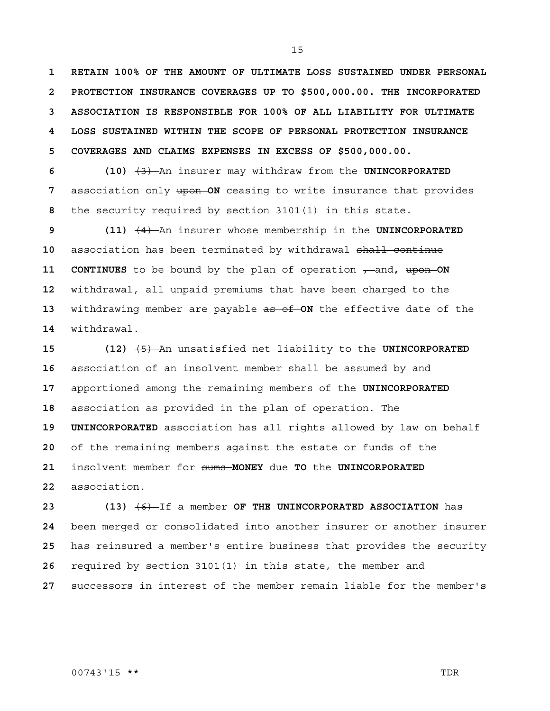**1 RETAIN 100% OF THE AMOUNT OF ULTIMATE LOSS SUSTAINED UNDER PERSONAL 2 PROTECTION INSURANCE COVERAGES UP TO \$500,000.00. THE INCORPORATED 3 ASSOCIATION IS RESPONSIBLE FOR 100% OF ALL LIABILITY FOR ULTIMATE 4 LOSS SUSTAINED WITHIN THE SCOPE OF PERSONAL PROTECTION INSURANCE 5 COVERAGES AND CLAIMS EXPENSES IN EXCESS OF \$500,000.00.**

**6 (10)** (3) An insurer may withdraw from the **UNINCORPORATED 7** association only upon **ON** ceasing to write insurance that provides **8** the security required by section 3101(1) in this state.

**9 (11)** (4) An insurer whose membership in the **UNINCORPORATED**  association has been terminated by withdrawal shall continue **11 CONTINUES** to be bound by the plan of operation  $\tau$  and, upon ON withdrawal, all unpaid premiums that have been charged to the withdrawing member are payable as of **ON** the effective date of the withdrawal.

**15 (12)** (5) An unsatisfied net liability to the **UNINCORPORATED**  association of an insolvent member shall be assumed by and apportioned among the remaining members of the **UNINCORPORATED**  association as provided in the plan of operation. The **19 UNINCORPORATED** association has all rights allowed by law on behalf of the remaining members against the estate or funds of the insolvent member for sums **MONEY** due **TO** the **UNINCORPORATED**  association.

**23 (13)** (6) If a member **OF THE UNINCORPORATED ASSOCIATION** has been merged or consolidated into another insurer or another insurer has reinsured a member's entire business that provides the security required by section 3101(1) in this state, the member and successors in interest of the member remain liable for the member's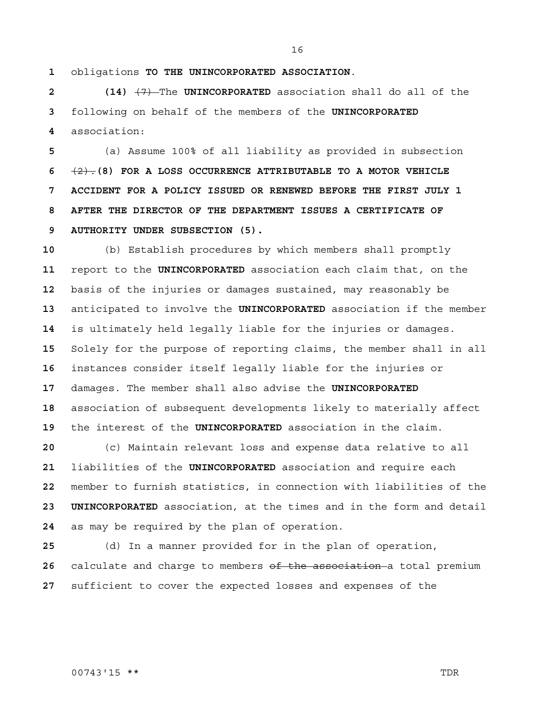obligations **TO THE UNINCORPORATED ASSOCIATION**.

**2 (14)** (7) The **UNINCORPORATED** association shall do all of the following on behalf of the members of the **UNINCORPORATED**  association:

(a) Assume 100% of all liability as provided in subsection (2).**(8) FOR A LOSS OCCURRENCE ATTRIBUTABLE TO A MOTOR VEHICLE 7 ACCIDENT FOR A POLICY ISSUED OR RENEWED BEFORE THE FIRST JULY 1 8 AFTER THE DIRECTOR OF THE DEPARTMENT ISSUES A CERTIFICATE OF 9 AUTHORITY UNDER SUBSECTION (5).**

(b) Establish procedures by which members shall promptly report to the **UNINCORPORATED** association each claim that, on the basis of the injuries or damages sustained, may reasonably be anticipated to involve the **UNINCORPORATED** association if the member is ultimately held legally liable for the injuries or damages. Solely for the purpose of reporting claims, the member shall in all instances consider itself legally liable for the injuries or damages. The member shall also advise the **UNINCORPORATED**  association of subsequent developments likely to materially affect the interest of the **UNINCORPORATED** association in the claim.

(c) Maintain relevant loss and expense data relative to all liabilities of the **UNINCORPORATED** association and require each member to furnish statistics, in connection with liabilities of the **23 UNINCORPORATED** association, at the times and in the form and detail as may be required by the plan of operation.

(d) In a manner provided for in the plan of operation, calculate and charge to members of the association a total premium sufficient to cover the expected losses and expenses of the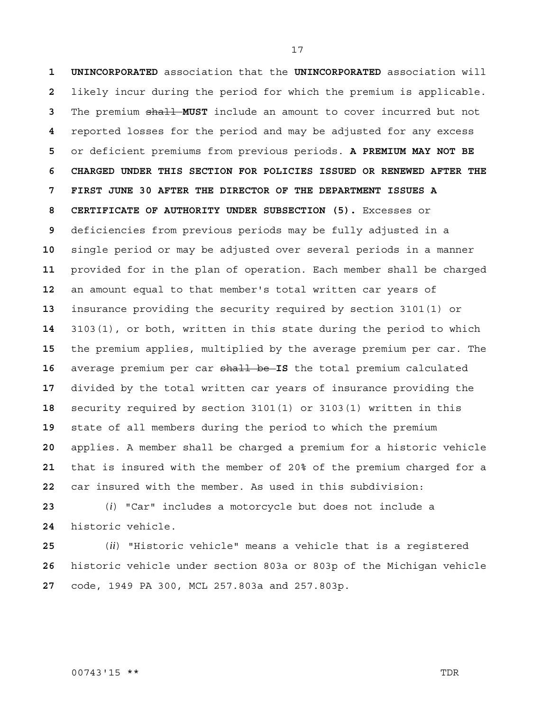**1 UNINCORPORATED** association that the **UNINCORPORATED** association will likely incur during the period for which the premium is applicable. The premium shall **MUST** include an amount to cover incurred but not reported losses for the period and may be adjusted for any excess or deficient premiums from previous periods. **A PREMIUM MAY NOT BE 6 CHARGED UNDER THIS SECTION FOR POLICIES ISSUED OR RENEWED AFTER THE 7 FIRST JUNE 30 AFTER THE DIRECTOR OF THE DEPARTMENT ISSUES A 8 CERTIFICATE OF AUTHORITY UNDER SUBSECTION (5).** Excesses or deficiencies from previous periods may be fully adjusted in a single period or may be adjusted over several periods in a manner provided for in the plan of operation. Each member shall be charged an amount equal to that member's total written car years of insurance providing the security required by section 3101(1) or 3103(1), or both, written in this state during the period to which the premium applies, multiplied by the average premium per car. The average premium per car shall be **IS** the total premium calculated divided by the total written car years of insurance providing the security required by section 3101(1) or 3103(1) written in this state of all members during the period to which the premium applies. A member shall be charged a premium for a historic vehicle that is insured with the member of 20% of the premium charged for a car insured with the member. As used in this subdivision:

(*i*) "Car" includes a motorcycle but does not include a historic vehicle.

(*ii*) "Historic vehicle" means a vehicle that is a registered historic vehicle under section 803a or 803p of the Michigan vehicle code, 1949 PA 300, MCL 257.803a and 257.803p.

#### 00743'15 \*\* TDR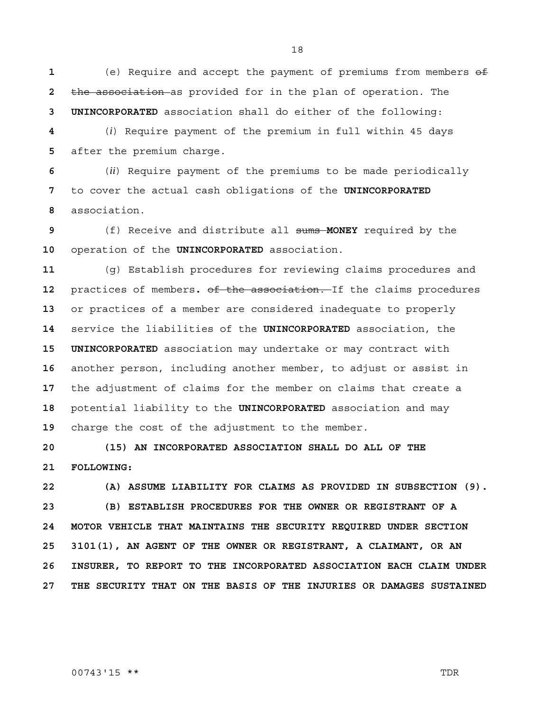(e) Require and accept the payment of premiums from members of the association as provided for in the plan of operation. The **3 UNINCORPORATED** association shall do either of the following:

(*i*) Require payment of the premium in full within 45 days after the premium charge.

(*ii*) Require payment of the premiums to be made periodically to cover the actual cash obligations of the **UNINCORPORATED**  association.

(f) Receive and distribute all sums **MONEY** required by the operation of the **UNINCORPORATED** association.

(g) Establish procedures for reviewing claims procedures and practices of members**.** of the association. If the claims procedures or practices of a member are considered inadequate to properly service the liabilities of the **UNINCORPORATED** association, the **15 UNINCORPORATED** association may undertake or may contract with another person, including another member, to adjust or assist in the adjustment of claims for the member on claims that create a potential liability to the **UNINCORPORATED** association and may charge the cost of the adjustment to the member.

**20 (15) AN INCORPORATED ASSOCIATION SHALL DO ALL OF THE 21 FOLLOWING:**

**22 (A) ASSUME LIABILITY FOR CLAIMS AS PROVIDED IN SUBSECTION (9). 23 (B) ESTABLISH PROCEDURES FOR THE OWNER OR REGISTRANT OF A 24 MOTOR VEHICLE THAT MAINTAINS THE SECURITY REQUIRED UNDER SECTION 25 3101(1), AN AGENT OF THE OWNER OR REGISTRANT, A CLAIMANT, OR AN 26 INSURER, TO REPORT TO THE INCORPORATED ASSOCIATION EACH CLAIM UNDER 27 THE SECURITY THAT ON THE BASIS OF THE INJURIES OR DAMAGES SUSTAINED** 

00743'15 \*\* TDR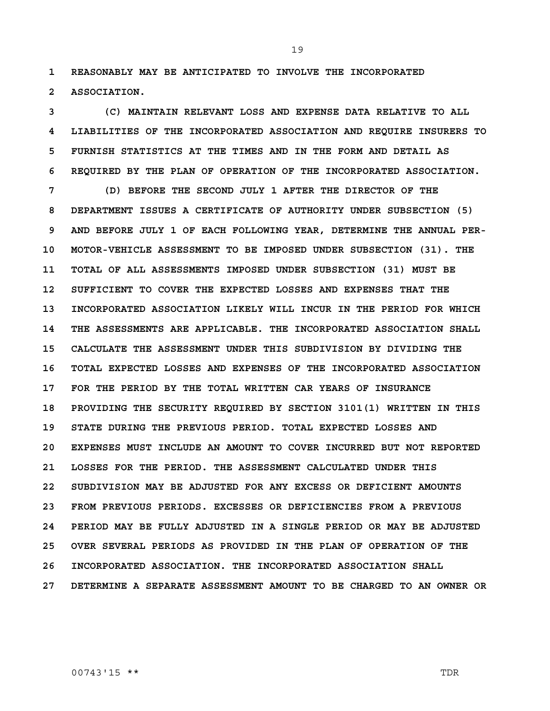**1 REASONABLY MAY BE ANTICIPATED TO INVOLVE THE INCORPORATED 2 ASSOCIATION.**

**3 (C) MAINTAIN RELEVANT LOSS AND EXPENSE DATA RELATIVE TO ALL 4 LIABILITIES OF THE INCORPORATED ASSOCIATION AND REQUIRE INSURERS TO 5 FURNISH STATISTICS AT THE TIMES AND IN THE FORM AND DETAIL AS 6 REQUIRED BY THE PLAN OF OPERATION OF THE INCORPORATED ASSOCIATION.**

**7 (D) BEFORE THE SECOND JULY 1 AFTER THE DIRECTOR OF THE 8 DEPARTMENT ISSUES A CERTIFICATE OF AUTHORITY UNDER SUBSECTION (5) 9 AND BEFORE JULY 1 OF EACH FOLLOWING YEAR, DETERMINE THE ANNUAL PER-10 MOTOR-VEHICLE ASSESSMENT TO BE IMPOSED UNDER SUBSECTION (31). THE 11 TOTAL OF ALL ASSESSMENTS IMPOSED UNDER SUBSECTION (31) MUST BE 12 SUFFICIENT TO COVER THE EXPECTED LOSSES AND EXPENSES THAT THE 13 INCORPORATED ASSOCIATION LIKELY WILL INCUR IN THE PERIOD FOR WHICH 14 THE ASSESSMENTS ARE APPLICABLE. THE INCORPORATED ASSOCIATION SHALL 15 CALCULATE THE ASSESSMENT UNDER THIS SUBDIVISION BY DIVIDING THE 16 TOTAL EXPECTED LOSSES AND EXPENSES OF THE INCORPORATED ASSOCIATION 17 FOR THE PERIOD BY THE TOTAL WRITTEN CAR YEARS OF INSURANCE 18 PROVIDING THE SECURITY REQUIRED BY SECTION 3101(1) WRITTEN IN THIS 19 STATE DURING THE PREVIOUS PERIOD. TOTAL EXPECTED LOSSES AND 20 EXPENSES MUST INCLUDE AN AMOUNT TO COVER INCURRED BUT NOT REPORTED 21 LOSSES FOR THE PERIOD. THE ASSESSMENT CALCULATED UNDER THIS 22 SUBDIVISION MAY BE ADJUSTED FOR ANY EXCESS OR DEFICIENT AMOUNTS 23 FROM PREVIOUS PERIODS. EXCESSES OR DEFICIENCIES FROM A PREVIOUS 24 PERIOD MAY BE FULLY ADJUSTED IN A SINGLE PERIOD OR MAY BE ADJUSTED 25 OVER SEVERAL PERIODS AS PROVIDED IN THE PLAN OF OPERATION OF THE 26 INCORPORATED ASSOCIATION. THE INCORPORATED ASSOCIATION SHALL 27 DETERMINE A SEPARATE ASSESSMENT AMOUNT TO BE CHARGED TO AN OWNER OR**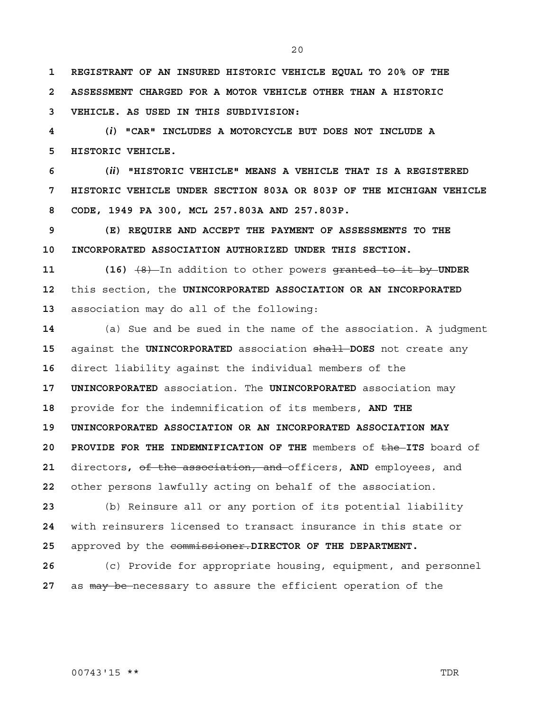20

**1 REGISTRANT OF AN INSURED HISTORIC VEHICLE EQUAL TO 20% OF THE 2 ASSESSMENT CHARGED FOR A MOTOR VEHICLE OTHER THAN A HISTORIC 3 VEHICLE. AS USED IN THIS SUBDIVISION:**

**4 (***i***) "CAR" INCLUDES A MOTORCYCLE BUT DOES NOT INCLUDE A 5 HISTORIC VEHICLE.**

**6 (***ii***) "HISTORIC VEHICLE" MEANS A VEHICLE THAT IS A REGISTERED 7 HISTORIC VEHICLE UNDER SECTION 803A OR 803P OF THE MICHIGAN VEHICLE 8 CODE, 1949 PA 300, MCL 257.803A AND 257.803P.**

**9 (E) REQUIRE AND ACCEPT THE PAYMENT OF ASSESSMENTS TO THE 10 INCORPORATED ASSOCIATION AUTHORIZED UNDER THIS SECTION.**

**11 (16)** (8) In addition to other powers granted to it by **UNDER 12** this section, the **UNINCORPORATED ASSOCIATION OR AN INCORPORATED 13** association may do all of the following:

(a) Sue and be sued in the name of the association. A judgment against the **UNINCORPORATED** association shall **DOES** not create any direct liability against the individual members of the **17 UNINCORPORATED** association. The **UNINCORPORATED** association may provide for the indemnification of its members, **AND THE 19 UNINCORPORATED ASSOCIATION OR AN INCORPORATED ASSOCIATION MAY 20 PROVIDE FOR THE INDEMNIFICATION OF THE** members of the **ITS** board of directors**,** of the association, and officers, **AND** employees, and other persons lawfully acting on behalf of the association.

**23** (b) Reinsure all or any portion of its potential liability **24** with reinsurers licensed to transact insurance in this state or **25** approved by the commissioner.**DIRECTOR OF THE DEPARTMENT.**

**26** (c) Provide for appropriate housing, equipment, and personnel **27** as may be necessary to assure the efficient operation of the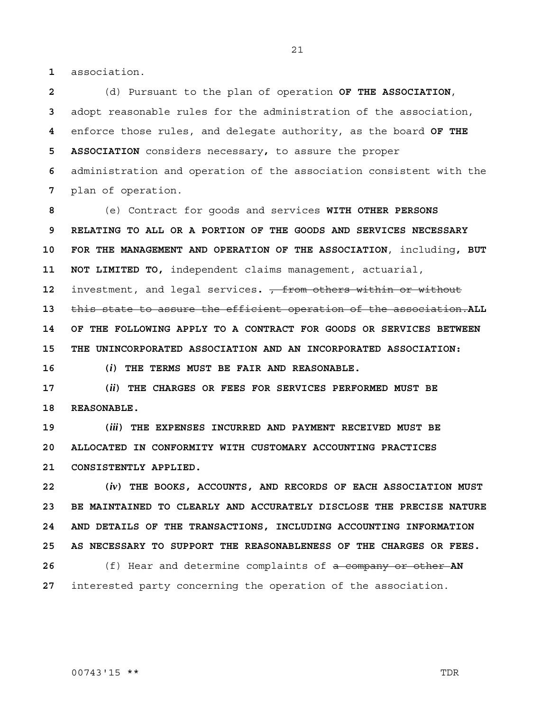**1** association.

(d) Pursuant to the plan of operation **OF THE ASSOCIATION**, adopt reasonable rules for the administration of the association, enforce those rules, and delegate authority, as the board **OF THE 5 ASSOCIATION** considers necessary**,** to assure the proper administration and operation of the association consistent with the plan of operation.

**8** (e) Contract for goods and services **WITH OTHER PERSONS 9 RELATING TO ALL OR A PORTION OF THE GOODS AND SERVICES NECESSARY 10 FOR THE MANAGEMENT AND OPERATION OF THE ASSOCIATION**, including**, BUT 11 NOT LIMITED TO,** independent claims management, actuarial, **12** investment, and legal services**.** , from others within or without **13** this state to assure the efficient operation of the association.**ALL 14 OF THE FOLLOWING APPLY TO A CONTRACT FOR GOODS OR SERVICES BETWEEN 15 THE UNINCORPORATED ASSOCIATION AND AN INCORPORATED ASSOCIATION:**

**16 (***i***) THE TERMS MUST BE FAIR AND REASONABLE.**

**17 (***ii***) THE CHARGES OR FEES FOR SERVICES PERFORMED MUST BE 18 REASONABLE.**

**19 (***iii***) THE EXPENSES INCURRED AND PAYMENT RECEIVED MUST BE 20 ALLOCATED IN CONFORMITY WITH CUSTOMARY ACCOUNTING PRACTICES 21 CONSISTENTLY APPLIED.**

**22 (***iv***) THE BOOKS, ACCOUNTS, AND RECORDS OF EACH ASSOCIATION MUST 23 BE MAINTAINED TO CLEARLY AND ACCURATELY DISCLOSE THE PRECISE NATURE 24 AND DETAILS OF THE TRANSACTIONS, INCLUDING ACCOUNTING INFORMATION 25 AS NECESSARY TO SUPPORT THE REASONABLENESS OF THE CHARGES OR FEES. 26** (f) Hear and determine complaints of a company or other **AN 27** interested party concerning the operation of the association.

00743'15 \*\* TDR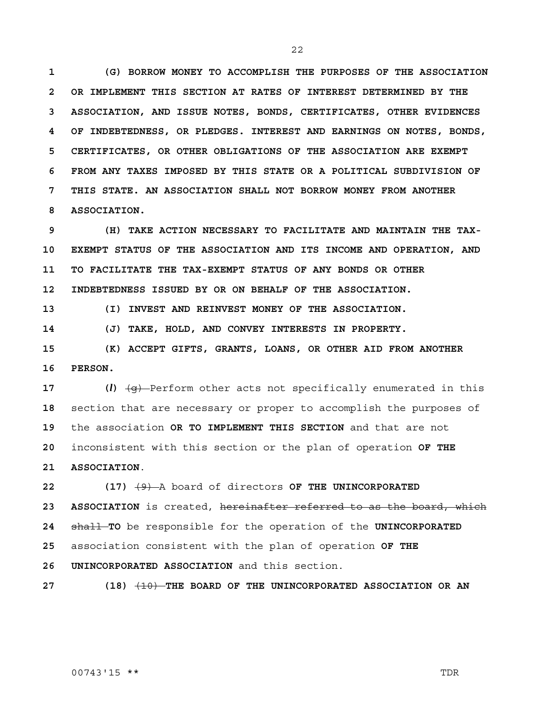**1 (G) BORROW MONEY TO ACCOMPLISH THE PURPOSES OF THE ASSOCIATION 2 OR IMPLEMENT THIS SECTION AT RATES OF INTEREST DETERMINED BY THE 3 ASSOCIATION, AND ISSUE NOTES, BONDS, CERTIFICATES, OTHER EVIDENCES 4 OF INDEBTEDNESS, OR PLEDGES. INTEREST AND EARNINGS ON NOTES, BONDS, 5 CERTIFICATES, OR OTHER OBLIGATIONS OF THE ASSOCIATION ARE EXEMPT 6 FROM ANY TAXES IMPOSED BY THIS STATE OR A POLITICAL SUBDIVISION OF 7 THIS STATE. AN ASSOCIATION SHALL NOT BORROW MONEY FROM ANOTHER 8 ASSOCIATION.**

**9 (H) TAKE ACTION NECESSARY TO FACILITATE AND MAINTAIN THE TAX-10 EXEMPT STATUS OF THE ASSOCIATION AND ITS INCOME AND OPERATION, AND 11 TO FACILITATE THE TAX-EXEMPT STATUS OF ANY BONDS OR OTHER 12 INDEBTEDNESS ISSUED BY OR ON BEHALF OF THE ASSOCIATION.**

**13 (I) INVEST AND REINVEST MONEY OF THE ASSOCIATION.**

**14 (J) TAKE, HOLD, AND CONVEY INTERESTS IN PROPERTY.**

**15 (K) ACCEPT GIFTS, GRANTS, LOANS, OR OTHER AID FROM ANOTHER 16 PERSON.**

 (*l*)  $\left(\frac{q}{q}\right)$  Perform other acts not specifically enumerated in this section that are necessary or proper to accomplish the purposes of the association **OR TO IMPLEMENT THIS SECTION** and that are not inconsistent with this section or the plan of operation **OF THE 21 ASSOCIATION**.

**22 (17)** (9) A board of directors **OF THE UNINCORPORATED 23 ASSOCIATION** is created, hereinafter referred to as the board, which **24** shall **TO** be responsible for the operation of the **UNINCORPORATED 25** association consistent with the plan of operation **OF THE 26 UNINCORPORATED ASSOCIATION** and this section.

**27 (18)** (10) **THE BOARD OF THE UNINCORPORATED ASSOCIATION OR AN**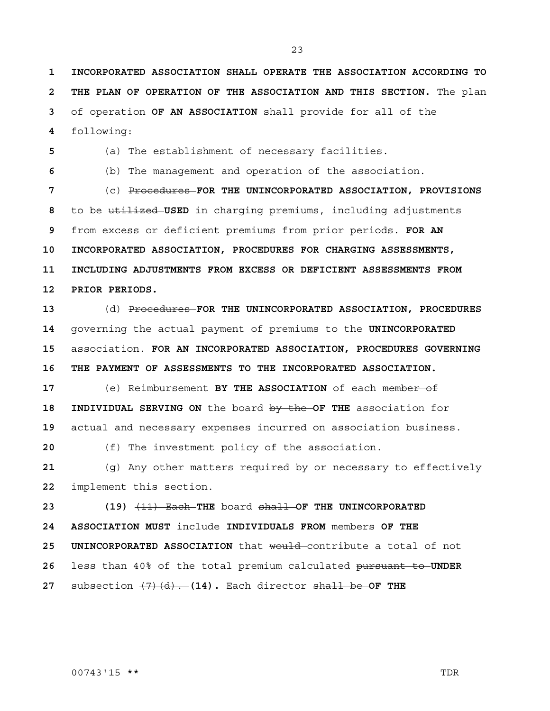**1 INCORPORATED ASSOCIATION SHALL OPERATE THE ASSOCIATION ACCORDING TO 2 THE PLAN OF OPERATION OF THE ASSOCIATION AND THIS SECTION.** The plan of operation **OF AN ASSOCIATION** shall provide for all of the

following:

(a) The establishment of necessary facilities.

(b) The management and operation of the association.

(c) Procedures **FOR THE UNINCORPORATED ASSOCIATION, PROVISIONS**  to be utilized **USED** in charging premiums, including adjustments from excess or deficient premiums from prior periods. **FOR AN 10 INCORPORATED ASSOCIATION, PROCEDURES FOR CHARGING ASSESSMENTS, 11 INCLUDING ADJUSTMENTS FROM EXCESS OR DEFICIENT ASSESSMENTS FROM 12 PRIOR PERIODS.**

(d) Procedures **FOR THE UNINCORPORATED ASSOCIATION, PROCEDURES**  governing the actual payment of premiums to the **UNINCORPORATED**  association. **FOR AN INCORPORATED ASSOCIATION, PROCEDURES GOVERNING 16 THE PAYMENT OF ASSESSMENTS TO THE INCORPORATED ASSOCIATION.**

(e) Reimbursement **BY THE ASSOCIATION** of each member of **18 INDIVIDUAL SERVING ON** the board by the **OF THE** association for actual and necessary expenses incurred on association business.

(f) The investment policy of the association.

(g) Any other matters required by or necessary to effectively implement this section.

**23 (19)** (11) Each **THE** board shall **OF THE UNINCORPORATED 24 ASSOCIATION MUST** include **INDIVIDUALS FROM** members **OF THE 25 UNINCORPORATED ASSOCIATION** that would contribute a total of not less than 40% of the total premium calculated pursuant to **UNDER**  subsection (7)(d). **(14).** Each director shall be **OF THE**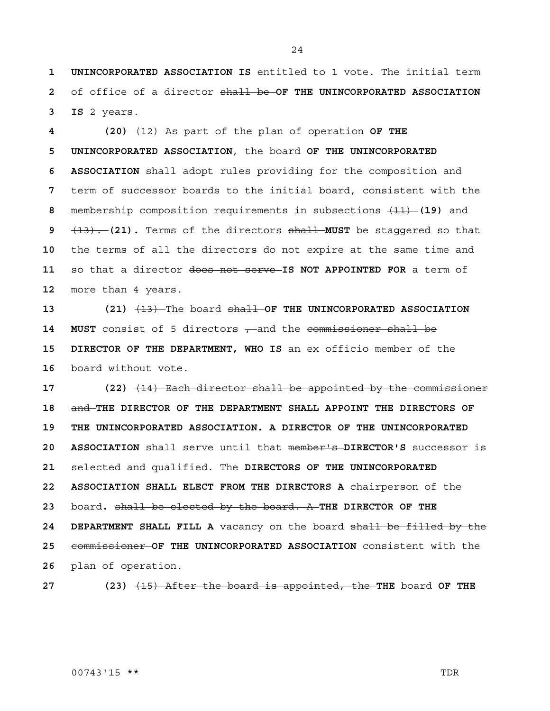**1 UNINCORPORATED ASSOCIATION IS** entitled to 1 vote. The initial term **2** of office of a director shall be **OF THE UNINCORPORATED ASSOCIATION 3 IS** 2 years.

**4 (20)** (12) As part of the plan of operation **OF THE 5 UNINCORPORATED ASSOCIATION**, the board **OF THE UNINCORPORATED 6 ASSOCIATION** shall adopt rules providing for the composition and term of successor boards to the initial board, consistent with the membership composition requirements in subsections (11) **(19)** and (13). **(21).** Terms of the directors shall **MUST** be staggered so that the terms of all the directors do not expire at the same time and so that a director does not serve **IS NOT APPOINTED FOR** a term of more than 4 years.

**13 (21)** (13) The board shall **OF THE UNINCORPORATED ASSOCIATION**  14 **MUST** consist of 5 directors , and the commissioner shall be **15 DIRECTOR OF THE DEPARTMENT, WHO IS** an ex officio member of the **16** board without vote.

**17 (22)** (14) Each director shall be appointed by the commissioner **18** and **THE DIRECTOR OF THE DEPARTMENT SHALL APPOINT THE DIRECTORS OF 19 THE UNINCORPORATED ASSOCIATION. A DIRECTOR OF THE UNINCORPORATED 20 ASSOCIATION** shall serve until that member's **DIRECTOR'S** successor is **21** selected and qualified. The **DIRECTORS OF THE UNINCORPORATED 22 ASSOCIATION SHALL ELECT FROM THE DIRECTORS A** chairperson of the **23** board**.** shall be elected by the board. A **THE DIRECTOR OF THE 24 DEPARTMENT SHALL FILL A** vacancy on the board shall be filled by the **25** commissioner **OF THE UNINCORPORATED ASSOCIATION** consistent with the **26** plan of operation.

**27 (23)** (15) After the board is appointed, the **THE** board **OF THE**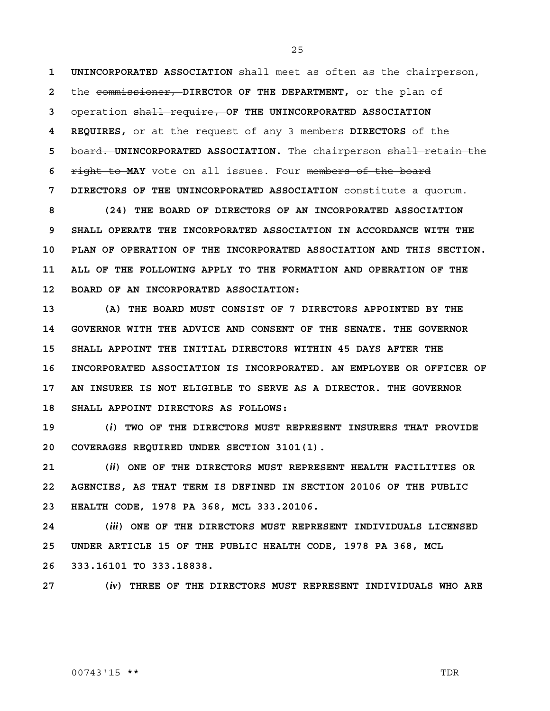**1 UNINCORPORATED ASSOCIATION** shall meet as often as the chairperson, **2** the commissioner, **DIRECTOR OF THE DEPARTMENT,** or the plan of **3** operation shall require, **OF THE UNINCORPORATED ASSOCIATION 4 REQUIRES,** or at the request of any 3 members **DIRECTORS** of the **5** board. **UNINCORPORATED ASSOCIATION.** The chairperson shall retain the **6** right to **MAY** vote on all issues. Four members of the board **7 DIRECTORS OF THE UNINCORPORATED ASSOCIATION** constitute a quorum.

**8 (24) THE BOARD OF DIRECTORS OF AN INCORPORATED ASSOCIATION 9 SHALL OPERATE THE INCORPORATED ASSOCIATION IN ACCORDANCE WITH THE 10 PLAN OF OPERATION OF THE INCORPORATED ASSOCIATION AND THIS SECTION. 11 ALL OF THE FOLLOWING APPLY TO THE FORMATION AND OPERATION OF THE 12 BOARD OF AN INCORPORATED ASSOCIATION:**

**13 (A) THE BOARD MUST CONSIST OF 7 DIRECTORS APPOINTED BY THE 14 GOVERNOR WITH THE ADVICE AND CONSENT OF THE SENATE. THE GOVERNOR 15 SHALL APPOINT THE INITIAL DIRECTORS WITHIN 45 DAYS AFTER THE 16 INCORPORATED ASSOCIATION IS INCORPORATED. AN EMPLOYEE OR OFFICER OF 17 AN INSURER IS NOT ELIGIBLE TO SERVE AS A DIRECTOR. THE GOVERNOR 18 SHALL APPOINT DIRECTORS AS FOLLOWS:**

**19 (***i***) TWO OF THE DIRECTORS MUST REPRESENT INSURERS THAT PROVIDE 20 COVERAGES REQUIRED UNDER SECTION 3101(1).**

**21 (***ii***) ONE OF THE DIRECTORS MUST REPRESENT HEALTH FACILITIES OR 22 AGENCIES, AS THAT TERM IS DEFINED IN SECTION 20106 OF THE PUBLIC 23 HEALTH CODE, 1978 PA 368, MCL 333.20106.**

**24 (***iii***) ONE OF THE DIRECTORS MUST REPRESENT INDIVIDUALS LICENSED 25 UNDER ARTICLE 15 OF THE PUBLIC HEALTH CODE, 1978 PA 368, MCL 26 333.16101 TO 333.18838.**

**27 (***iv***) THREE OF THE DIRECTORS MUST REPRESENT INDIVIDUALS WHO ARE**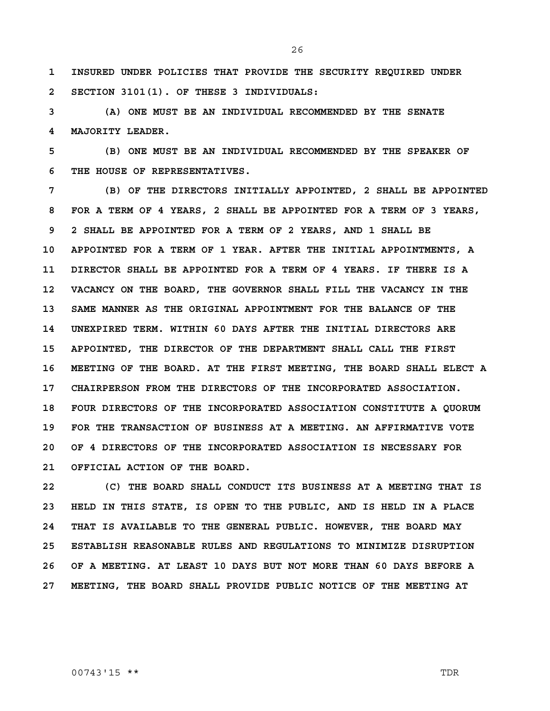**1 INSURED UNDER POLICIES THAT PROVIDE THE SECURITY REQUIRED UNDER 2 SECTION 3101(1). OF THESE 3 INDIVIDUALS:**

**3 (A) ONE MUST BE AN INDIVIDUAL RECOMMENDED BY THE SENATE 4 MAJORITY LEADER.**

**5 (B) ONE MUST BE AN INDIVIDUAL RECOMMENDED BY THE SPEAKER OF 6 THE HOUSE OF REPRESENTATIVES.**

**7 (B) OF THE DIRECTORS INITIALLY APPOINTED, 2 SHALL BE APPOINTED 8 FOR A TERM OF 4 YEARS, 2 SHALL BE APPOINTED FOR A TERM OF 3 YEARS, 9 2 SHALL BE APPOINTED FOR A TERM OF 2 YEARS, AND 1 SHALL BE 10 APPOINTED FOR A TERM OF 1 YEAR. AFTER THE INITIAL APPOINTMENTS, A 11 DIRECTOR SHALL BE APPOINTED FOR A TERM OF 4 YEARS. IF THERE IS A 12 VACANCY ON THE BOARD, THE GOVERNOR SHALL FILL THE VACANCY IN THE 13 SAME MANNER AS THE ORIGINAL APPOINTMENT FOR THE BALANCE OF THE 14 UNEXPIRED TERM. WITHIN 60 DAYS AFTER THE INITIAL DIRECTORS ARE 15 APPOINTED, THE DIRECTOR OF THE DEPARTMENT SHALL CALL THE FIRST 16 MEETING OF THE BOARD. AT THE FIRST MEETING, THE BOARD SHALL ELECT A 17 CHAIRPERSON FROM THE DIRECTORS OF THE INCORPORATED ASSOCIATION. 18 FOUR DIRECTORS OF THE INCORPORATED ASSOCIATION CONSTITUTE A QUORUM 19 FOR THE TRANSACTION OF BUSINESS AT A MEETING. AN AFFIRMATIVE VOTE 20 OF 4 DIRECTORS OF THE INCORPORATED ASSOCIATION IS NECESSARY FOR 21 OFFICIAL ACTION OF THE BOARD.**

**22 (C) THE BOARD SHALL CONDUCT ITS BUSINESS AT A MEETING THAT IS 23 HELD IN THIS STATE, IS OPEN TO THE PUBLIC, AND IS HELD IN A PLACE 24 THAT IS AVAILABLE TO THE GENERAL PUBLIC. HOWEVER, THE BOARD MAY 25 ESTABLISH REASONABLE RULES AND REGULATIONS TO MINIMIZE DISRUPTION 26 OF A MEETING. AT LEAST 10 DAYS BUT NOT MORE THAN 60 DAYS BEFORE A 27 MEETING, THE BOARD SHALL PROVIDE PUBLIC NOTICE OF THE MEETING AT** 

00743'15 \*\* TDR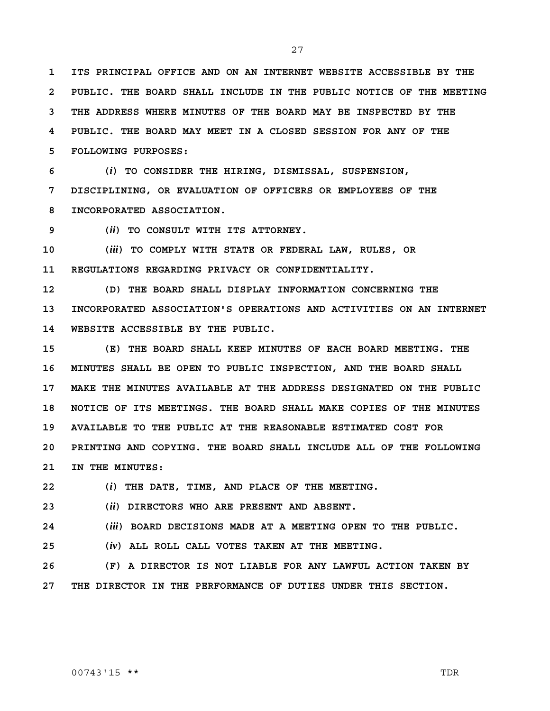**1 ITS PRINCIPAL OFFICE AND ON AN INTERNET WEBSITE ACCESSIBLE BY THE 2 PUBLIC. THE BOARD SHALL INCLUDE IN THE PUBLIC NOTICE OF THE MEETING 3 THE ADDRESS WHERE MINUTES OF THE BOARD MAY BE INSPECTED BY THE 4 PUBLIC. THE BOARD MAY MEET IN A CLOSED SESSION FOR ANY OF THE 5 FOLLOWING PURPOSES:**

**6 (***i***) TO CONSIDER THE HIRING, DISMISSAL, SUSPENSION, 7 DISCIPLINING, OR EVALUATION OF OFFICERS OR EMPLOYEES OF THE 8 INCORPORATED ASSOCIATION.**

**9 (***ii***) TO CONSULT WITH ITS ATTORNEY.**

**10 (***iii***) TO COMPLY WITH STATE OR FEDERAL LAW, RULES, OR 11 REGULATIONS REGARDING PRIVACY OR CONFIDENTIALITY.**

**12 (D) THE BOARD SHALL DISPLAY INFORMATION CONCERNING THE 13 INCORPORATED ASSOCIATION'S OPERATIONS AND ACTIVITIES ON AN INTERNET 14 WEBSITE ACCESSIBLE BY THE PUBLIC.**

**15 (E) THE BOARD SHALL KEEP MINUTES OF EACH BOARD MEETING. THE 16 MINUTES SHALL BE OPEN TO PUBLIC INSPECTION, AND THE BOARD SHALL 17 MAKE THE MINUTES AVAILABLE AT THE ADDRESS DESIGNATED ON THE PUBLIC 18 NOTICE OF ITS MEETINGS. THE BOARD SHALL MAKE COPIES OF THE MINUTES 19 AVAILABLE TO THE PUBLIC AT THE REASONABLE ESTIMATED COST FOR 20 PRINTING AND COPYING. THE BOARD SHALL INCLUDE ALL OF THE FOLLOWING 21 IN THE MINUTES:**

**22 (***i***) THE DATE, TIME, AND PLACE OF THE MEETING.**

**23 (***ii***) DIRECTORS WHO ARE PRESENT AND ABSENT.**

**24 (***iii***) BOARD DECISIONS MADE AT A MEETING OPEN TO THE PUBLIC.**

**25 (***iv***) ALL ROLL CALL VOTES TAKEN AT THE MEETING.**

**26 (F) A DIRECTOR IS NOT LIABLE FOR ANY LAWFUL ACTION TAKEN BY 27 THE DIRECTOR IN THE PERFORMANCE OF DUTIES UNDER THIS SECTION.**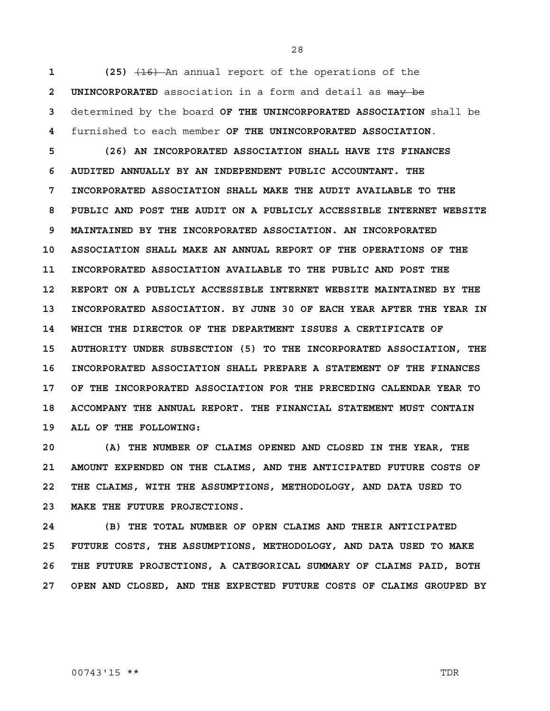(25)  $\left(16\right)$  An annual report of the operations of the **2 UNINCORPORATED** association in a form and detail as may be determined by the board **OF THE UNINCORPORATED ASSOCIATION** shall be furnished to each member **OF THE UNINCORPORATED ASSOCIATION**.

**5 (26) AN INCORPORATED ASSOCIATION SHALL HAVE ITS FINANCES 6 AUDITED ANNUALLY BY AN INDEPENDENT PUBLIC ACCOUNTANT. THE 7 INCORPORATED ASSOCIATION SHALL MAKE THE AUDIT AVAILABLE TO THE 8 PUBLIC AND POST THE AUDIT ON A PUBLICLY ACCESSIBLE INTERNET WEBSITE 9 MAINTAINED BY THE INCORPORATED ASSOCIATION. AN INCORPORATED 10 ASSOCIATION SHALL MAKE AN ANNUAL REPORT OF THE OPERATIONS OF THE 11 INCORPORATED ASSOCIATION AVAILABLE TO THE PUBLIC AND POST THE 12 REPORT ON A PUBLICLY ACCESSIBLE INTERNET WEBSITE MAINTAINED BY THE 13 INCORPORATED ASSOCIATION. BY JUNE 30 OF EACH YEAR AFTER THE YEAR IN 14 WHICH THE DIRECTOR OF THE DEPARTMENT ISSUES A CERTIFICATE OF 15 AUTHORITY UNDER SUBSECTION (5) TO THE INCORPORATED ASSOCIATION, THE 16 INCORPORATED ASSOCIATION SHALL PREPARE A STATEMENT OF THE FINANCES 17 OF THE INCORPORATED ASSOCIATION FOR THE PRECEDING CALENDAR YEAR TO 18 ACCOMPANY THE ANNUAL REPORT. THE FINANCIAL STATEMENT MUST CONTAIN 19 ALL OF THE FOLLOWING:**

**20 (A) THE NUMBER OF CLAIMS OPENED AND CLOSED IN THE YEAR, THE 21 AMOUNT EXPENDED ON THE CLAIMS, AND THE ANTICIPATED FUTURE COSTS OF 22 THE CLAIMS, WITH THE ASSUMPTIONS, METHODOLOGY, AND DATA USED TO 23 MAKE THE FUTURE PROJECTIONS.**

**24 (B) THE TOTAL NUMBER OF OPEN CLAIMS AND THEIR ANTICIPATED 25 FUTURE COSTS, THE ASSUMPTIONS, METHODOLOGY, AND DATA USED TO MAKE 26 THE FUTURE PROJECTIONS, A CATEGORICAL SUMMARY OF CLAIMS PAID, BOTH 27 OPEN AND CLOSED, AND THE EXPECTED FUTURE COSTS OF CLAIMS GROUPED BY** 

#### 00743'15 \*\* TDR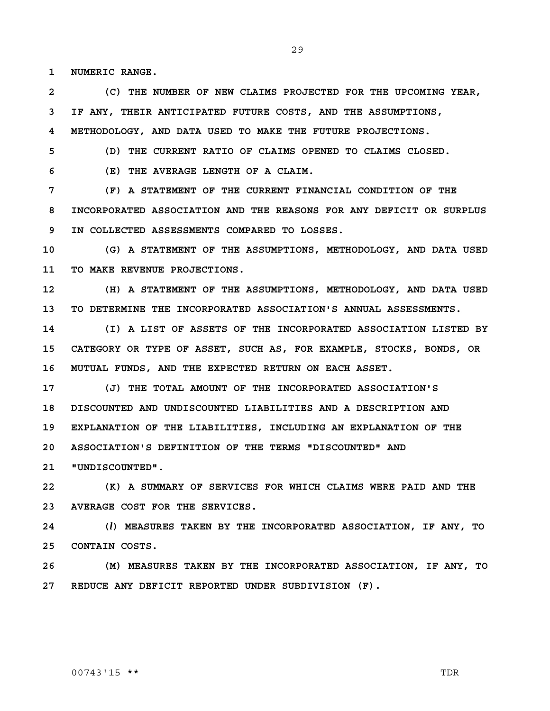**1 NUMERIC RANGE.**

**2 (C) THE NUMBER OF NEW CLAIMS PROJECTED FOR THE UPCOMING YEAR, 3 IF ANY, THEIR ANTICIPATED FUTURE COSTS, AND THE ASSUMPTIONS,** 

**4 METHODOLOGY, AND DATA USED TO MAKE THE FUTURE PROJECTIONS.**

**5 (D) THE CURRENT RATIO OF CLAIMS OPENED TO CLAIMS CLOSED.**

**6 (E) THE AVERAGE LENGTH OF A CLAIM.**

**7 (F) A STATEMENT OF THE CURRENT FINANCIAL CONDITION OF THE 8 INCORPORATED ASSOCIATION AND THE REASONS FOR ANY DEFICIT OR SURPLUS 9 IN COLLECTED ASSESSMENTS COMPARED TO LOSSES.**

**10 (G) A STATEMENT OF THE ASSUMPTIONS, METHODOLOGY, AND DATA USED 11 TO MAKE REVENUE PROJECTIONS.**

**12 (H) A STATEMENT OF THE ASSUMPTIONS, METHODOLOGY, AND DATA USED 13 TO DETERMINE THE INCORPORATED ASSOCIATION'S ANNUAL ASSESSMENTS.**

**14 (I) A LIST OF ASSETS OF THE INCORPORATED ASSOCIATION LISTED BY 15 CATEGORY OR TYPE OF ASSET, SUCH AS, FOR EXAMPLE, STOCKS, BONDS, OR 16 MUTUAL FUNDS, AND THE EXPECTED RETURN ON EACH ASSET.**

**17 (J) THE TOTAL AMOUNT OF THE INCORPORATED ASSOCIATION'S 18 DISCOUNTED AND UNDISCOUNTED LIABILITIES AND A DESCRIPTION AND 19 EXPLANATION OF THE LIABILITIES, INCLUDING AN EXPLANATION OF THE 20 ASSOCIATION'S DEFINITION OF THE TERMS "DISCOUNTED" AND 21 "UNDISCOUNTED".**

**22 (K) A SUMMARY OF SERVICES FOR WHICH CLAIMS WERE PAID AND THE 23 AVERAGE COST FOR THE SERVICES.**

**24 (***l***) MEASURES TAKEN BY THE INCORPORATED ASSOCIATION, IF ANY, TO 25 CONTAIN COSTS.**

**26 (M) MEASURES TAKEN BY THE INCORPORATED ASSOCIATION, IF ANY, TO 27 REDUCE ANY DEFICIT REPORTED UNDER SUBDIVISION (F).**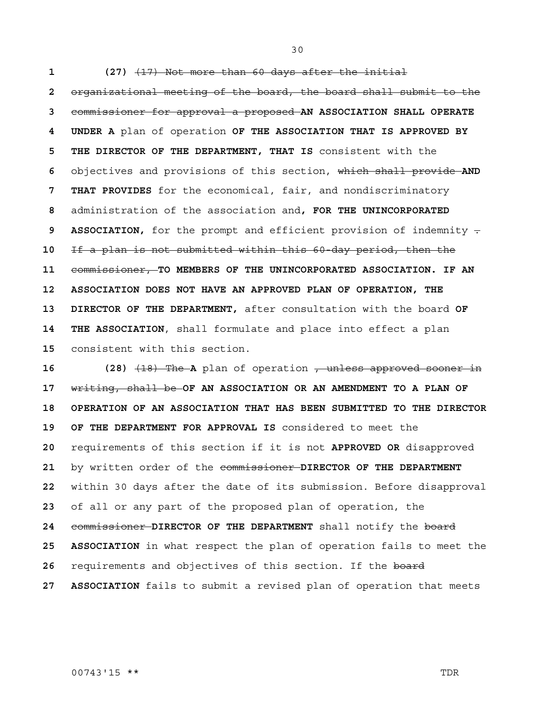**1 (27)** (17) Not more than 60 days after the initial **2** organizational meeting of the board, the board shall submit to the **3** commissioner for approval a proposed **AN ASSOCIATION SHALL OPERATE 4 UNDER A** plan of operation **OF THE ASSOCIATION THAT IS APPROVED BY 5 THE DIRECTOR OF THE DEPARTMENT, THAT IS** consistent with the **6** objectives and provisions of this section, which shall provide **AND 7 THAT PROVIDES** for the economical, fair, and nondiscriminatory **8** administration of the association and**, FOR THE UNINCORPORATED 9 ASSOCIATION,** for the prompt and efficient provision of indemnity . **10** If a plan is not submitted within this 60-day period, then the **11** commissioner, **TO MEMBERS OF THE UNINCORPORATED ASSOCIATION. IF AN 12 ASSOCIATION DOES NOT HAVE AN APPROVED PLAN OF OPERATION, THE 13 DIRECTOR OF THE DEPARTMENT,** after consultation with the board **OF 14 THE ASSOCIATION**, shall formulate and place into effect a plan **15** consistent with this section.

16 (28) <del>(18) The A</del> plan of operation , unless approved sooner in **17** writing, shall be **OF AN ASSOCIATION OR AN AMENDMENT TO A PLAN OF 18 OPERATION OF AN ASSOCIATION THAT HAS BEEN SUBMITTED TO THE DIRECTOR 19 OF THE DEPARTMENT FOR APPROVAL IS** considered to meet the **20** requirements of this section if it is not **APPROVED OR** disapproved **21** by written order of the commissioner **DIRECTOR OF THE DEPARTMENT 22** within 30 days after the date of its submission. Before disapproval **23** of all or any part of the proposed plan of operation, the **24** commissioner **DIRECTOR OF THE DEPARTMENT** shall notify the board **25 ASSOCIATION** in what respect the plan of operation fails to meet the 26 requirements and objectives of this section. If the board **27 ASSOCIATION** fails to submit a revised plan of operation that meets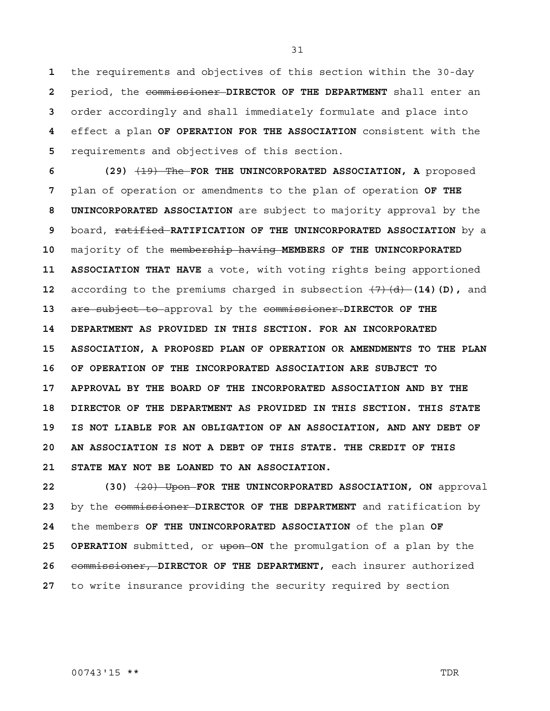the requirements and objectives of this section within the 30-day period, the commissioner **DIRECTOR OF THE DEPARTMENT** shall enter an order accordingly and shall immediately formulate and place into effect a plan **OF OPERATION FOR THE ASSOCIATION** consistent with the requirements and objectives of this section.

**6 (29)** (19) The **FOR THE UNINCORPORATED ASSOCIATION, A** proposed **7** plan of operation or amendments to the plan of operation **OF THE 8 UNINCORPORATED ASSOCIATION** are subject to majority approval by the **9** board, ratified **RATIFICATION OF THE UNINCORPORATED ASSOCIATION** by a **10** majority of the membership having **MEMBERS OF THE UNINCORPORATED 11 ASSOCIATION THAT HAVE** a vote, with voting rights being apportioned **12** according to the premiums charged in subsection  $(7)(d)$  (14)(D), and **13** are subject to approval by the commissioner.**DIRECTOR OF THE 14 DEPARTMENT AS PROVIDED IN THIS SECTION. FOR AN INCORPORATED 15 ASSOCIATION, A PROPOSED PLAN OF OPERATION OR AMENDMENTS TO THE PLAN 16 OF OPERATION OF THE INCORPORATED ASSOCIATION ARE SUBJECT TO 17 APPROVAL BY THE BOARD OF THE INCORPORATED ASSOCIATION AND BY THE 18 DIRECTOR OF THE DEPARTMENT AS PROVIDED IN THIS SECTION. THIS STATE 19 IS NOT LIABLE FOR AN OBLIGATION OF AN ASSOCIATION, AND ANY DEBT OF 20 AN ASSOCIATION IS NOT A DEBT OF THIS STATE. THE CREDIT OF THIS 21 STATE MAY NOT BE LOANED TO AN ASSOCIATION.**

 (30)  $\left(2\theta\right)$  Upon FOR THE UNINCORPORATED ASSOCIATION, ON approval by the commissioner **DIRECTOR OF THE DEPARTMENT** and ratification by the members **OF THE UNINCORPORATED ASSOCIATION** of the plan **OF 25 OPERATION** submitted, or upon **ON** the promulgation of a plan by the commissioner, **DIRECTOR OF THE DEPARTMENT,** each insurer authorized to write insurance providing the security required by section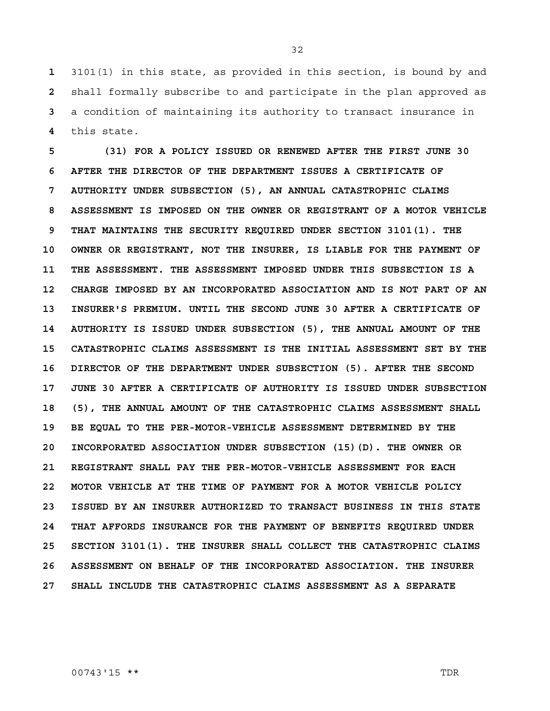3101(1) in this state, as provided in this section, is bound by and shall formally subscribe to and participate in the plan approved as a condition of maintaining its authority to transact insurance in this state.

**5 (31) FOR A POLICY ISSUED OR RENEWED AFTER THE FIRST JUNE 30 6 AFTER THE DIRECTOR OF THE DEPARTMENT ISSUES A CERTIFICATE OF 7 AUTHORITY UNDER SUBSECTION (5), AN ANNUAL CATASTROPHIC CLAIMS 8 ASSESSMENT IS IMPOSED ON THE OWNER OR REGISTRANT OF A MOTOR VEHICLE 9 THAT MAINTAINS THE SECURITY REQUIRED UNDER SECTION 3101(1). THE 10 OWNER OR REGISTRANT, NOT THE INSURER, IS LIABLE FOR THE PAYMENT OF 11 THE ASSESSMENT. THE ASSESSMENT IMPOSED UNDER THIS SUBSECTION IS A 12 CHARGE IMPOSED BY AN INCORPORATED ASSOCIATION AND IS NOT PART OF AN 13 INSURER'S PREMIUM. UNTIL THE SECOND JUNE 30 AFTER A CERTIFICATE OF 14 AUTHORITY IS ISSUED UNDER SUBSECTION (5), THE ANNUAL AMOUNT OF THE 15 CATASTROPHIC CLAIMS ASSESSMENT IS THE INITIAL ASSESSMENT SET BY THE 16 DIRECTOR OF THE DEPARTMENT UNDER SUBSECTION (5). AFTER THE SECOND 17 JUNE 30 AFTER A CERTIFICATE OF AUTHORITY IS ISSUED UNDER SUBSECTION 18 (5), THE ANNUAL AMOUNT OF THE CATASTROPHIC CLAIMS ASSESSMENT SHALL 19 BE EQUAL TO THE PER-MOTOR-VEHICLE ASSESSMENT DETERMINED BY THE 20 INCORPORATED ASSOCIATION UNDER SUBSECTION (15)(D). THE OWNER OR 21 REGISTRANT SHALL PAY THE PER-MOTOR-VEHICLE ASSESSMENT FOR EACH 22 MOTOR VEHICLE AT THE TIME OF PAYMENT FOR A MOTOR VEHICLE POLICY 23 ISSUED BY AN INSURER AUTHORIZED TO TRANSACT BUSINESS IN THIS STATE 24 THAT AFFORDS INSURANCE FOR THE PAYMENT OF BENEFITS REQUIRED UNDER 25 SECTION 3101(1). THE INSURER SHALL COLLECT THE CATASTROPHIC CLAIMS 26 ASSESSMENT ON BEHALF OF THE INCORPORATED ASSOCIATION. THE INSURER 27 SHALL INCLUDE THE CATASTROPHIC CLAIMS ASSESSMENT AS A SEPARATE**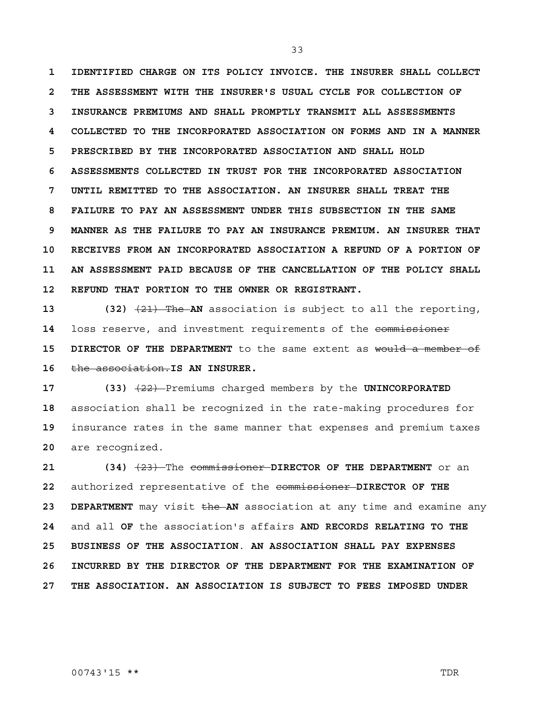**1 IDENTIFIED CHARGE ON ITS POLICY INVOICE. THE INSURER SHALL COLLECT 2 THE ASSESSMENT WITH THE INSURER'S USUAL CYCLE FOR COLLECTION OF 3 INSURANCE PREMIUMS AND SHALL PROMPTLY TRANSMIT ALL ASSESSMENTS 4 COLLECTED TO THE INCORPORATED ASSOCIATION ON FORMS AND IN A MANNER 5 PRESCRIBED BY THE INCORPORATED ASSOCIATION AND SHALL HOLD 6 ASSESSMENTS COLLECTED IN TRUST FOR THE INCORPORATED ASSOCIATION 7 UNTIL REMITTED TO THE ASSOCIATION. AN INSURER SHALL TREAT THE 8 FAILURE TO PAY AN ASSESSMENT UNDER THIS SUBSECTION IN THE SAME 9 MANNER AS THE FAILURE TO PAY AN INSURANCE PREMIUM. AN INSURER THAT 10 RECEIVES FROM AN INCORPORATED ASSOCIATION A REFUND OF A PORTION OF 11 AN ASSESSMENT PAID BECAUSE OF THE CANCELLATION OF THE POLICY SHALL 12 REFUND THAT PORTION TO THE OWNER OR REGISTRANT.**

**13 (32)** (21) The **AN** association is subject to all the reporting, **14** loss reserve, and investment requirements of the commissioner **15 DIRECTOR OF THE DEPARTMENT** to the same extent as would a member of **16** the association.**IS AN INSURER.** 

**17 (33)** (22) Premiums charged members by the **UNINCORPORATED**  association shall be recognized in the rate-making procedures for insurance rates in the same manner that expenses and premium taxes are recognized.

**21 (34)** (23) The commissioner **DIRECTOR OF THE DEPARTMENT** or an **22** authorized representative of the commissioner **DIRECTOR OF THE 23 DEPARTMENT** may visit the **AN** association at any time and examine any **24** and all **OF** the association's affairs **AND RECORDS RELATING TO THE 25 BUSINESS OF THE ASSOCIATION**. **AN ASSOCIATION SHALL PAY EXPENSES 26 INCURRED BY THE DIRECTOR OF THE DEPARTMENT FOR THE EXAMINATION OF 27 THE ASSOCIATION. AN ASSOCIATION IS SUBJECT TO FEES IMPOSED UNDER**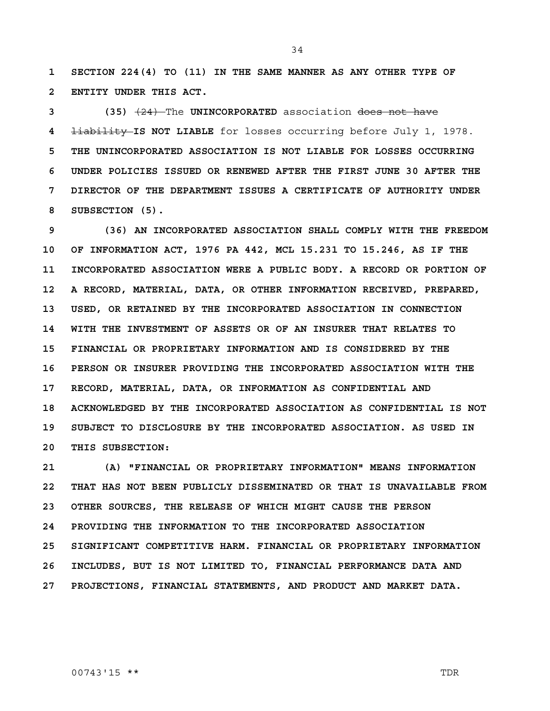**1 SECTION 224(4) TO (11) IN THE SAME MANNER AS ANY OTHER TYPE OF 2 ENTITY UNDER THIS ACT.**

**3 (35)** (24) The **UNINCORPORATED** association does not have **4** liability **IS NOT LIABLE** for losses occurring before July 1, 1978. **5 THE UNINCORPORATED ASSOCIATION IS NOT LIABLE FOR LOSSES OCCURRING 6 UNDER POLICIES ISSUED OR RENEWED AFTER THE FIRST JUNE 30 AFTER THE 7 DIRECTOR OF THE DEPARTMENT ISSUES A CERTIFICATE OF AUTHORITY UNDER 8 SUBSECTION (5).**

**9 (36) AN INCORPORATED ASSOCIATION SHALL COMPLY WITH THE FREEDOM 10 OF INFORMATION ACT, 1976 PA 442, MCL 15.231 TO 15.246, AS IF THE 11 INCORPORATED ASSOCIATION WERE A PUBLIC BODY. A RECORD OR PORTION OF 12 A RECORD, MATERIAL, DATA, OR OTHER INFORMATION RECEIVED, PREPARED, 13 USED, OR RETAINED BY THE INCORPORATED ASSOCIATION IN CONNECTION 14 WITH THE INVESTMENT OF ASSETS OR OF AN INSURER THAT RELATES TO 15 FINANCIAL OR PROPRIETARY INFORMATION AND IS CONSIDERED BY THE 16 PERSON OR INSURER PROVIDING THE INCORPORATED ASSOCIATION WITH THE 17 RECORD, MATERIAL, DATA, OR INFORMATION AS CONFIDENTIAL AND 18 ACKNOWLEDGED BY THE INCORPORATED ASSOCIATION AS CONFIDENTIAL IS NOT 19 SUBJECT TO DISCLOSURE BY THE INCORPORATED ASSOCIATION. AS USED IN 20 THIS SUBSECTION:**

**21 (A) "FINANCIAL OR PROPRIETARY INFORMATION" MEANS INFORMATION 22 THAT HAS NOT BEEN PUBLICLY DISSEMINATED OR THAT IS UNAVAILABLE FROM 23 OTHER SOURCES, THE RELEASE OF WHICH MIGHT CAUSE THE PERSON 24 PROVIDING THE INFORMATION TO THE INCORPORATED ASSOCIATION 25 SIGNIFICANT COMPETITIVE HARM. FINANCIAL OR PROPRIETARY INFORMATION 26 INCLUDES, BUT IS NOT LIMITED TO, FINANCIAL PERFORMANCE DATA AND 27 PROJECTIONS, FINANCIAL STATEMENTS, AND PRODUCT AND MARKET DATA.**

00743'15 \*\* TDR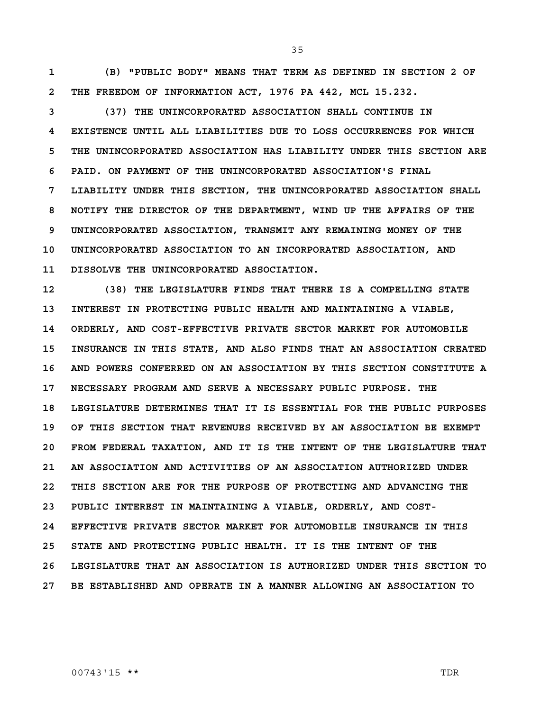**1 (B) "PUBLIC BODY" MEANS THAT TERM AS DEFINED IN SECTION 2 OF 2 THE FREEDOM OF INFORMATION ACT, 1976 PA 442, MCL 15.232.**

**3 (37) THE UNINCORPORATED ASSOCIATION SHALL CONTINUE IN 4 EXISTENCE UNTIL ALL LIABILITIES DUE TO LOSS OCCURRENCES FOR WHICH 5 THE UNINCORPORATED ASSOCIATION HAS LIABILITY UNDER THIS SECTION ARE 6 PAID. ON PAYMENT OF THE UNINCORPORATED ASSOCIATION'S FINAL 7 LIABILITY UNDER THIS SECTION, THE UNINCORPORATED ASSOCIATION SHALL 8 NOTIFY THE DIRECTOR OF THE DEPARTMENT, WIND UP THE AFFAIRS OF THE 9 UNINCORPORATED ASSOCIATION, TRANSMIT ANY REMAINING MONEY OF THE 10 UNINCORPORATED ASSOCIATION TO AN INCORPORATED ASSOCIATION, AND 11 DISSOLVE THE UNINCORPORATED ASSOCIATION.**

**12 (38) THE LEGISLATURE FINDS THAT THERE IS A COMPELLING STATE 13 INTEREST IN PROTECTING PUBLIC HEALTH AND MAINTAINING A VIABLE, 14 ORDERLY, AND COST-EFFECTIVE PRIVATE SECTOR MARKET FOR AUTOMOBILE 15 INSURANCE IN THIS STATE, AND ALSO FINDS THAT AN ASSOCIATION CREATED 16 AND POWERS CONFERRED ON AN ASSOCIATION BY THIS SECTION CONSTITUTE A 17 NECESSARY PROGRAM AND SERVE A NECESSARY PUBLIC PURPOSE. THE 18 LEGISLATURE DETERMINES THAT IT IS ESSENTIAL FOR THE PUBLIC PURPOSES 19 OF THIS SECTION THAT REVENUES RECEIVED BY AN ASSOCIATION BE EXEMPT 20 FROM FEDERAL TAXATION, AND IT IS THE INTENT OF THE LEGISLATURE THAT 21 AN ASSOCIATION AND ACTIVITIES OF AN ASSOCIATION AUTHORIZED UNDER 22 THIS SECTION ARE FOR THE PURPOSE OF PROTECTING AND ADVANCING THE 23 PUBLIC INTEREST IN MAINTAINING A VIABLE, ORDERLY, AND COST-24 EFFECTIVE PRIVATE SECTOR MARKET FOR AUTOMOBILE INSURANCE IN THIS 25 STATE AND PROTECTING PUBLIC HEALTH. IT IS THE INTENT OF THE 26 LEGISLATURE THAT AN ASSOCIATION IS AUTHORIZED UNDER THIS SECTION TO 27 BE ESTABLISHED AND OPERATE IN A MANNER ALLOWING AN ASSOCIATION TO**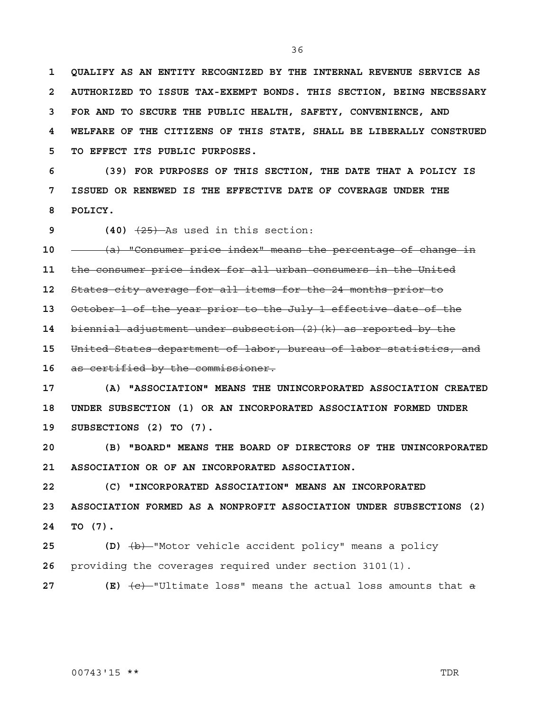**1 QUALIFY AS AN ENTITY RECOGNIZED BY THE INTERNAL REVENUE SERVICE AS 2 AUTHORIZED TO ISSUE TAX-EXEMPT BONDS. THIS SECTION, BEING NECESSARY 3 FOR AND TO SECURE THE PUBLIC HEALTH, SAFETY, CONVENIENCE, AND 4 WELFARE OF THE CITIZENS OF THIS STATE, SHALL BE LIBERALLY CONSTRUED 5 TO EFFECT ITS PUBLIC PURPOSES.**

**6 (39) FOR PURPOSES OF THIS SECTION, THE DATE THAT A POLICY IS 7 ISSUED OR RENEWED IS THE EFFECTIVE DATE OF COVERAGE UNDER THE 8 POLICY.**

**9 (40)** (25) As used in this section:

**10** (a) "Consumer price index" means the percentage of change in

**11** the consumer price index for all urban consumers in the United

**12** States city average for all items for the 24 months prior to

**13** October 1 of the year prior to the July 1 effective date of the

**14** biennial adjustment under subsection (2)(k) as reported by the

**15** United States department of labor, bureau of labor statistics, and

**16** as certified by the commissioner.

**17 (A) "ASSOCIATION" MEANS THE UNINCORPORATED ASSOCIATION CREATED 18 UNDER SUBSECTION (1) OR AN INCORPORATED ASSOCIATION FORMED UNDER 19 SUBSECTIONS (2) TO (7).**

**20 (B) "BOARD" MEANS THE BOARD OF DIRECTORS OF THE UNINCORPORATED 21 ASSOCIATION OR OF AN INCORPORATED ASSOCIATION.**

**22 (C) "INCORPORATED ASSOCIATION" MEANS AN INCORPORATED** 

**23 ASSOCIATION FORMED AS A NONPROFIT ASSOCIATION UNDER SUBSECTIONS (2) 24 TO (7).**

**25 (D)** (b) "Motor vehicle accident policy" means a policy **26** providing the coverages required under section 3101(1).

**27 (E)**  $\overline{(e)}$   $\overline{(e)}$  "Ultimate loss" means the actual loss amounts that a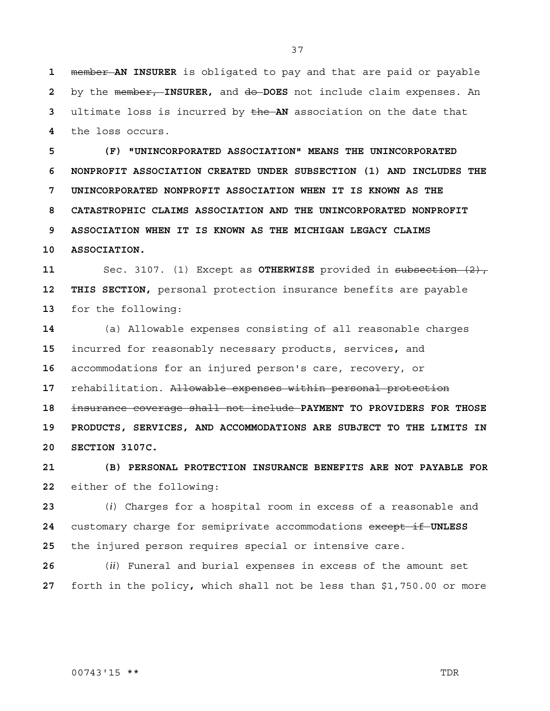member **AN INSURER** is obligated to pay and that are paid or payable by the member, **INSURER,** and do **DOES** not include claim expenses. An ultimate loss is incurred by the **AN** association on the date that the loss occurs.

**5 (F) "UNINCORPORATED ASSOCIATION" MEANS THE UNINCORPORATED 6 NONPROFIT ASSOCIATION CREATED UNDER SUBSECTION (1) AND INCLUDES THE 7 UNINCORPORATED NONPROFIT ASSOCIATION WHEN IT IS KNOWN AS THE 8 CATASTROPHIC CLAIMS ASSOCIATION AND THE UNINCORPORATED NONPROFIT 9 ASSOCIATION WHEN IT IS KNOWN AS THE MICHIGAN LEGACY CLAIMS** 

**10 ASSOCIATION.**

Sec. 3107. (1) Except as **OTHERWISE** provided in subsection (2), **12 THIS SECTION,** personal protection insurance benefits are payable for the following:

(a) Allowable expenses consisting of all reasonable charges incurred for reasonably necessary products, services**,** and accommodations for an injured person's care, recovery, or rehabilitation. Allowable expenses within personal protection insurance coverage shall not include **PAYMENT TO PROVIDERS FOR THOSE 19 PRODUCTS, SERVICES, AND ACCOMMODATIONS ARE SUBJECT TO THE LIMITS IN 20 SECTION 3107C.**

**21 (B) PERSONAL PROTECTION INSURANCE BENEFITS ARE NOT PAYABLE FOR**  either of the following:

(*i*) Charges for a hospital room in excess of a reasonable and customary charge for semiprivate accommodations except if **UNLESS**  the injured person requires special or intensive care.

(*ii*) Funeral and burial expenses in excess of the amount set forth in the policy**,** which shall not be less than \$1,750.00 or more

00743'15 \*\* TDR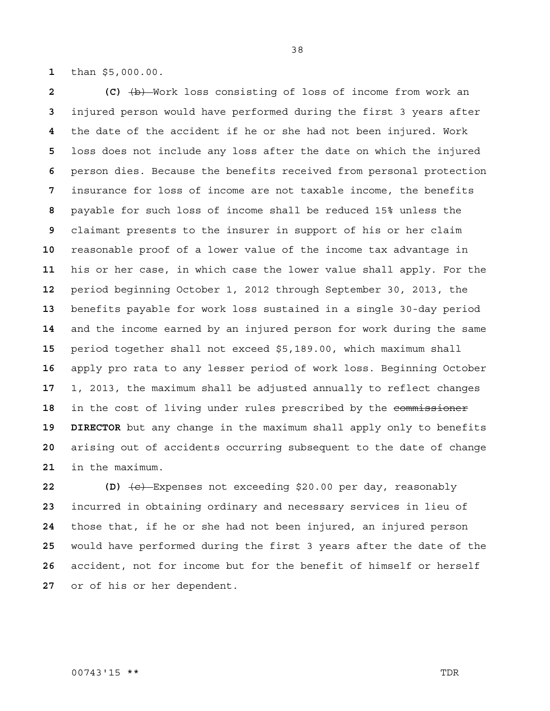than \$5,000.00.

 **(C)**  $\overline{b}$  Work loss consisting of loss of income from work an injured person would have performed during the first 3 years after the date of the accident if he or she had not been injured. Work loss does not include any loss after the date on which the injured person dies. Because the benefits received from personal protection insurance for loss of income are not taxable income, the benefits payable for such loss of income shall be reduced 15% unless the claimant presents to the insurer in support of his or her claim reasonable proof of a lower value of the income tax advantage in his or her case, in which case the lower value shall apply. For the period beginning October 1, 2012 through September 30, 2013, the benefits payable for work loss sustained in a single 30-day period and the income earned by an injured person for work during the same period together shall not exceed \$5,189.00, which maximum shall apply pro rata to any lesser period of work loss. Beginning October 1, 2013, the maximum shall be adjusted annually to reflect changes 18 in the cost of living under rules prescribed by the commissioner **19 DIRECTOR** but any change in the maximum shall apply only to benefits arising out of accidents occurring subsequent to the date of change in the maximum.

**22 (D)** (c) Expenses not exceeding \$20.00 per day, reasonably incurred in obtaining ordinary and necessary services in lieu of those that, if he or she had not been injured, an injured person would have performed during the first 3 years after the date of the accident, not for income but for the benefit of himself or herself or of his or her dependent.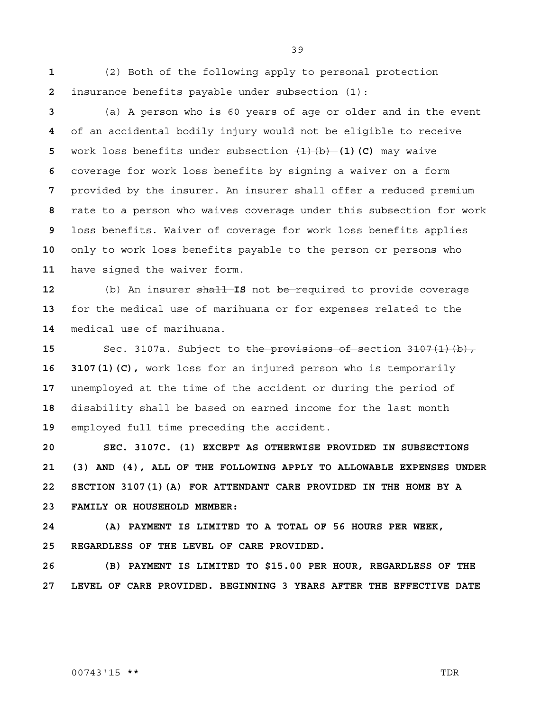(2) Both of the following apply to personal protection insurance benefits payable under subsection (1):

(a) A person who is 60 years of age or older and in the event of an accidental bodily injury would not be eligible to receive work loss benefits under subsection  $(1)(b)$  (1)(C) may waive coverage for work loss benefits by signing a waiver on a form provided by the insurer. An insurer shall offer a reduced premium rate to a person who waives coverage under this subsection for work loss benefits. Waiver of coverage for work loss benefits applies only to work loss benefits payable to the person or persons who have signed the waiver form.

(b) An insurer shall **IS** not be required to provide coverage for the medical use of marihuana or for expenses related to the medical use of marihuana.

 Sec. 3107a. Subject to the provisions of section 3107(1)(b), **16 3107(1)(C),** work loss for an injured person who is temporarily unemployed at the time of the accident or during the period of disability shall be based on earned income for the last month employed full time preceding the accident.

**20 SEC. 3107C. (1) EXCEPT AS OTHERWISE PROVIDED IN SUBSECTIONS 21 (3) AND (4), ALL OF THE FOLLOWING APPLY TO ALLOWABLE EXPENSES UNDER 22 SECTION 3107(1)(A) FOR ATTENDANT CARE PROVIDED IN THE HOME BY A 23 FAMILY OR HOUSEHOLD MEMBER:**

**24 (A) PAYMENT IS LIMITED TO A TOTAL OF 56 HOURS PER WEEK, 25 REGARDLESS OF THE LEVEL OF CARE PROVIDED.**

**26 (B) PAYMENT IS LIMITED TO \$15.00 PER HOUR, REGARDLESS OF THE 27 LEVEL OF CARE PROVIDED. BEGINNING 3 YEARS AFTER THE EFFECTIVE DATE**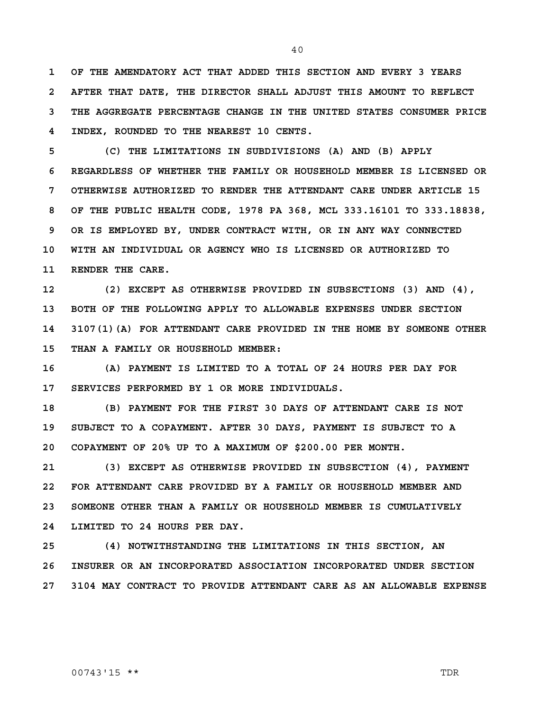**1 OF THE AMENDATORY ACT THAT ADDED THIS SECTION AND EVERY 3 YEARS 2 AFTER THAT DATE, THE DIRECTOR SHALL ADJUST THIS AMOUNT TO REFLECT 3 THE AGGREGATE PERCENTAGE CHANGE IN THE UNITED STATES CONSUMER PRICE 4 INDEX, ROUNDED TO THE NEAREST 10 CENTS.**

**5 (C) THE LIMITATIONS IN SUBDIVISIONS (A) AND (B) APPLY 6 REGARDLESS OF WHETHER THE FAMILY OR HOUSEHOLD MEMBER IS LICENSED OR 7 OTHERWISE AUTHORIZED TO RENDER THE ATTENDANT CARE UNDER ARTICLE 15 8 OF THE PUBLIC HEALTH CODE, 1978 PA 368, MCL 333.16101 TO 333.18838, 9 OR IS EMPLOYED BY, UNDER CONTRACT WITH, OR IN ANY WAY CONNECTED 10 WITH AN INDIVIDUAL OR AGENCY WHO IS LICENSED OR AUTHORIZED TO 11 RENDER THE CARE.**

**12 (2) EXCEPT AS OTHERWISE PROVIDED IN SUBSECTIONS (3) AND (4), 13 BOTH OF THE FOLLOWING APPLY TO ALLOWABLE EXPENSES UNDER SECTION 14 3107(1)(A) FOR ATTENDANT CARE PROVIDED IN THE HOME BY SOMEONE OTHER 15 THAN A FAMILY OR HOUSEHOLD MEMBER:**

**16 (A) PAYMENT IS LIMITED TO A TOTAL OF 24 HOURS PER DAY FOR 17 SERVICES PERFORMED BY 1 OR MORE INDIVIDUALS.**

**18 (B) PAYMENT FOR THE FIRST 30 DAYS OF ATTENDANT CARE IS NOT 19 SUBJECT TO A COPAYMENT. AFTER 30 DAYS, PAYMENT IS SUBJECT TO A 20 COPAYMENT OF 20% UP TO A MAXIMUM OF \$200.00 PER MONTH.**

**21 (3) EXCEPT AS OTHERWISE PROVIDED IN SUBSECTION (4), PAYMENT 22 FOR ATTENDANT CARE PROVIDED BY A FAMILY OR HOUSEHOLD MEMBER AND 23 SOMEONE OTHER THAN A FAMILY OR HOUSEHOLD MEMBER IS CUMULATIVELY 24 LIMITED TO 24 HOURS PER DAY.**

**25 (4) NOTWITHSTANDING THE LIMITATIONS IN THIS SECTION, AN 26 INSURER OR AN INCORPORATED ASSOCIATION INCORPORATED UNDER SECTION 27 3104 MAY CONTRACT TO PROVIDE ATTENDANT CARE AS AN ALLOWABLE EXPENSE** 

#### 00743'15 \*\* TDR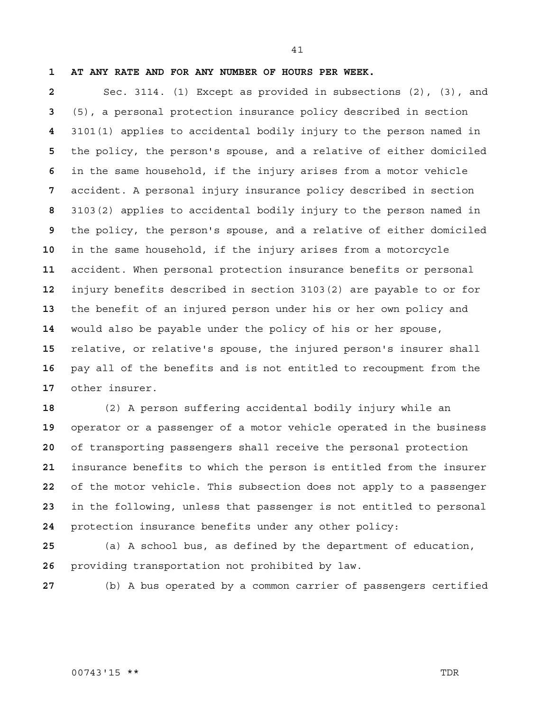**1 AT ANY RATE AND FOR ANY NUMBER OF HOURS PER WEEK.**

Sec. 3114. (1) Except as provided in subsections (2), (3), and (5), a personal protection insurance policy described in section 3101(1) applies to accidental bodily injury to the person named in the policy, the person's spouse, and a relative of either domiciled in the same household, if the injury arises from a motor vehicle accident. A personal injury insurance policy described in section 3103(2) applies to accidental bodily injury to the person named in the policy, the person's spouse, and a relative of either domiciled in the same household, if the injury arises from a motorcycle accident. When personal protection insurance benefits or personal injury benefits described in section 3103(2) are payable to or for the benefit of an injured person under his or her own policy and would also be payable under the policy of his or her spouse, relative, or relative's spouse, the injured person's insurer shall pay all of the benefits and is not entitled to recoupment from the other insurer.

(2) A person suffering accidental bodily injury while an operator or a passenger of a motor vehicle operated in the business of transporting passengers shall receive the personal protection insurance benefits to which the person is entitled from the insurer of the motor vehicle. This subsection does not apply to a passenger in the following, unless that passenger is not entitled to personal protection insurance benefits under any other policy:

(a) A school bus, as defined by the department of education, providing transportation not prohibited by law.

(b) A bus operated by a common carrier of passengers certified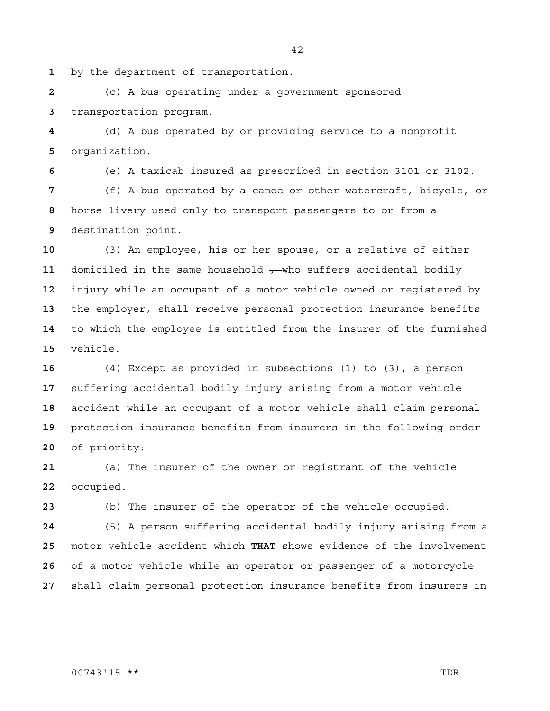by the department of transportation.

(c) A bus operating under a government sponsored transportation program.

(d) A bus operated by or providing service to a nonprofit organization.

(e) A taxicab insured as prescribed in section 3101 or 3102. (f) A bus operated by a canoe or other watercraft, bicycle, or horse livery used only to transport passengers to or from a destination point.

(3) An employee, his or her spouse, or a relative of either 11 domiciled in the same household  $\tau$ -who suffers accidental bodily injury while an occupant of a motor vehicle owned or registered by the employer, shall receive personal protection insurance benefits to which the employee is entitled from the insurer of the furnished vehicle.

(4) Except as provided in subsections (1) to (3), a person suffering accidental bodily injury arising from a motor vehicle accident while an occupant of a motor vehicle shall claim personal protection insurance benefits from insurers in the following order of priority:

(a) The insurer of the owner or registrant of the vehicle occupied.

(b) The insurer of the operator of the vehicle occupied.

(5) A person suffering accidental bodily injury arising from a motor vehicle accident which **THAT** shows evidence of the involvement of a motor vehicle while an operator or passenger of a motorcycle shall claim personal protection insurance benefits from insurers in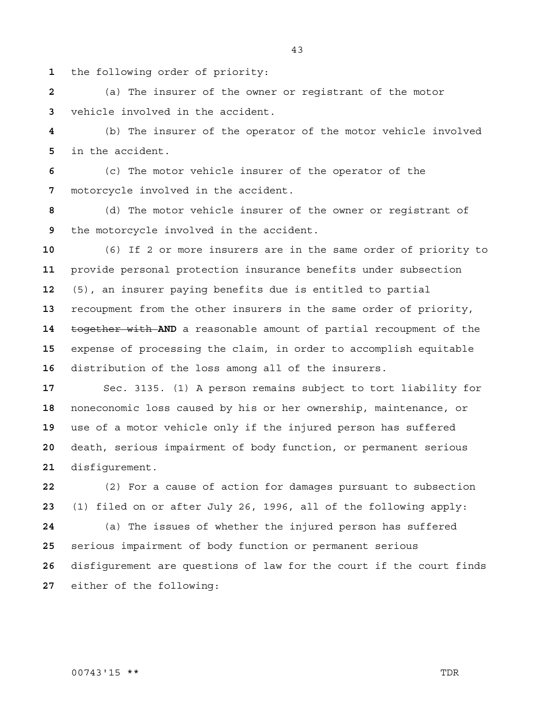the following order of priority:

(a) The insurer of the owner or registrant of the motor vehicle involved in the accident.

(b) The insurer of the operator of the motor vehicle involved in the accident.

(c) The motor vehicle insurer of the operator of the motorcycle involved in the accident.

(d) The motor vehicle insurer of the owner or registrant of the motorcycle involved in the accident.

(6) If 2 or more insurers are in the same order of priority to provide personal protection insurance benefits under subsection (5), an insurer paying benefits due is entitled to partial recoupment from the other insurers in the same order of priority, together with **AND** a reasonable amount of partial recoupment of the expense of processing the claim, in order to accomplish equitable distribution of the loss among all of the insurers.

Sec. 3135. (1) A person remains subject to tort liability for noneconomic loss caused by his or her ownership, maintenance, or use of a motor vehicle only if the injured person has suffered death, serious impairment of body function, or permanent serious disfigurement.

(2) For a cause of action for damages pursuant to subsection (1) filed on or after July 26, 1996, all of the following apply: (a) The issues of whether the injured person has suffered serious impairment of body function or permanent serious disfigurement are questions of law for the court if the court finds either of the following: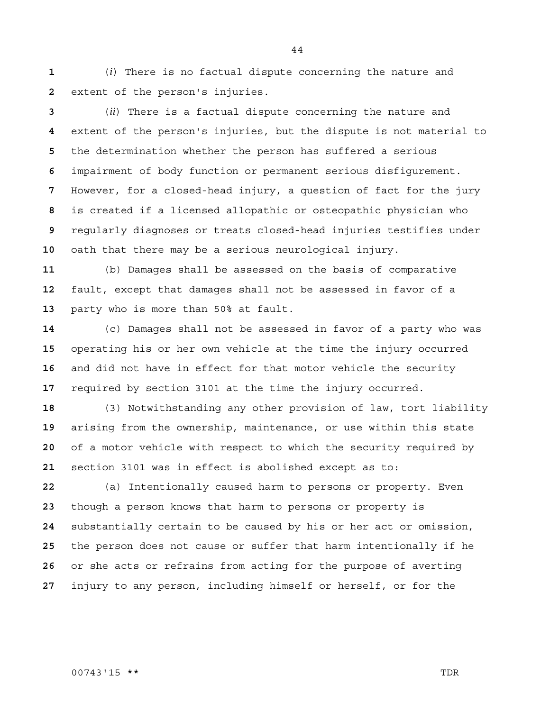(*i*) There is no factual dispute concerning the nature and extent of the person's injuries.

(*ii*) There is a factual dispute concerning the nature and extent of the person's injuries, but the dispute is not material to the determination whether the person has suffered a serious impairment of body function or permanent serious disfigurement. However, for a closed-head injury, a question of fact for the jury is created if a licensed allopathic or osteopathic physician who regularly diagnoses or treats closed-head injuries testifies under oath that there may be a serious neurological injury.

(b) Damages shall be assessed on the basis of comparative fault, except that damages shall not be assessed in favor of a party who is more than 50% at fault.

(c) Damages shall not be assessed in favor of a party who was operating his or her own vehicle at the time the injury occurred and did not have in effect for that motor vehicle the security required by section 3101 at the time the injury occurred.

(3) Notwithstanding any other provision of law, tort liability arising from the ownership, maintenance, or use within this state of a motor vehicle with respect to which the security required by section 3101 was in effect is abolished except as to:

(a) Intentionally caused harm to persons or property. Even though a person knows that harm to persons or property is substantially certain to be caused by his or her act or omission, the person does not cause or suffer that harm intentionally if he or she acts or refrains from acting for the purpose of averting injury to any person, including himself or herself, or for the

00743'15 \*\* TDR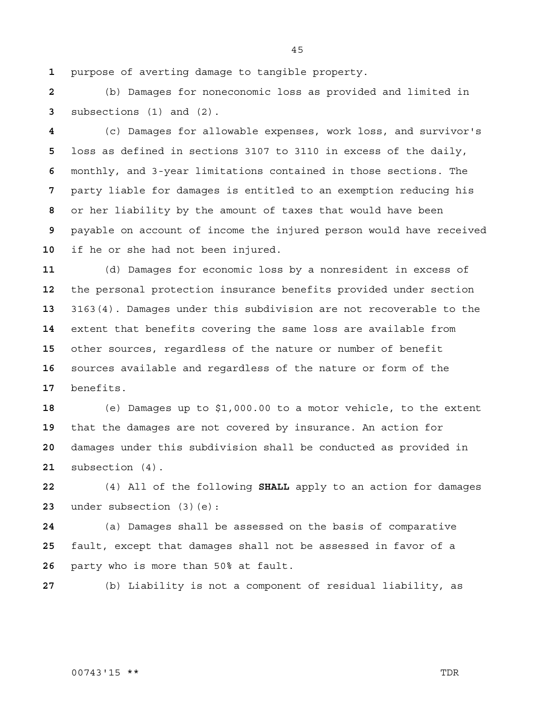purpose of averting damage to tangible property.

(b) Damages for noneconomic loss as provided and limited in subsections (1) and (2).

(c) Damages for allowable expenses, work loss, and survivor's loss as defined in sections 3107 to 3110 in excess of the daily, monthly, and 3-year limitations contained in those sections. The party liable for damages is entitled to an exemption reducing his or her liability by the amount of taxes that would have been payable on account of income the injured person would have received if he or she had not been injured.

(d) Damages for economic loss by a nonresident in excess of the personal protection insurance benefits provided under section 3163(4). Damages under this subdivision are not recoverable to the extent that benefits covering the same loss are available from other sources, regardless of the nature or number of benefit sources available and regardless of the nature or form of the benefits.

(e) Damages up to \$1,000.00 to a motor vehicle, to the extent that the damages are not covered by insurance. An action for damages under this subdivision shall be conducted as provided in subsection (4).

(4) All of the following **SHALL** apply to an action for damages under subsection (3)(e):

(a) Damages shall be assessed on the basis of comparative fault, except that damages shall not be assessed in favor of a party who is more than 50% at fault.

(b) Liability is not a component of residual liability, as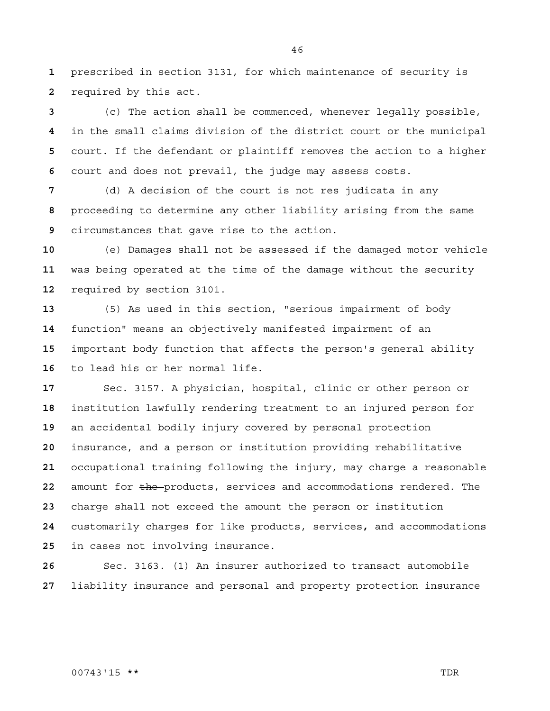prescribed in section 3131, for which maintenance of security is required by this act.

(c) The action shall be commenced, whenever legally possible, in the small claims division of the district court or the municipal court. If the defendant or plaintiff removes the action to a higher court and does not prevail, the judge may assess costs.

(d) A decision of the court is not res judicata in any proceeding to determine any other liability arising from the same circumstances that gave rise to the action.

(e) Damages shall not be assessed if the damaged motor vehicle was being operated at the time of the damage without the security required by section 3101.

(5) As used in this section, "serious impairment of body function" means an objectively manifested impairment of an important body function that affects the person's general ability to lead his or her normal life.

Sec. 3157. A physician, hospital, clinic or other person or institution lawfully rendering treatment to an injured person for an accidental bodily injury covered by personal protection insurance, and a person or institution providing rehabilitative occupational training following the injury, may charge a reasonable amount for the products, services and accommodations rendered. The charge shall not exceed the amount the person or institution customarily charges for like products, services**,** and accommodations in cases not involving insurance.

Sec. 3163. (1) An insurer authorized to transact automobile liability insurance and personal and property protection insurance

#### 00743'15 \*\* TDR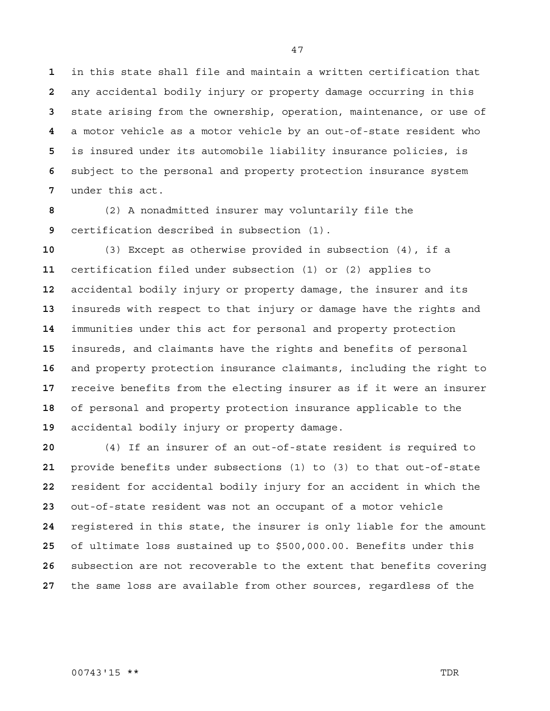in this state shall file and maintain a written certification that any accidental bodily injury or property damage occurring in this state arising from the ownership, operation, maintenance, or use of a motor vehicle as a motor vehicle by an out-of-state resident who is insured under its automobile liability insurance policies, is subject to the personal and property protection insurance system under this act.

(2) A nonadmitted insurer may voluntarily file the certification described in subsection (1).

(3) Except as otherwise provided in subsection (4), if a certification filed under subsection (1) or (2) applies to accidental bodily injury or property damage, the insurer and its insureds with respect to that injury or damage have the rights and immunities under this act for personal and property protection insureds, and claimants have the rights and benefits of personal and property protection insurance claimants, including the right to receive benefits from the electing insurer as if it were an insurer of personal and property protection insurance applicable to the accidental bodily injury or property damage.

(4) If an insurer of an out-of-state resident is required to provide benefits under subsections (1) to (3) to that out-of-state resident for accidental bodily injury for an accident in which the out-of-state resident was not an occupant of a motor vehicle registered in this state, the insurer is only liable for the amount of ultimate loss sustained up to \$500,000.00. Benefits under this subsection are not recoverable to the extent that benefits covering the same loss are available from other sources, regardless of the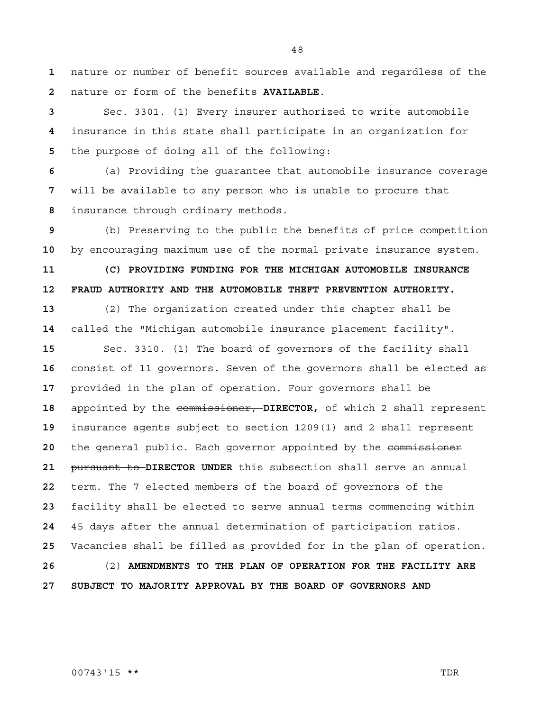nature or number of benefit sources available and regardless of the nature or form of the benefits **AVAILABLE**.

Sec. 3301. (1) Every insurer authorized to write automobile insurance in this state shall participate in an organization for the purpose of doing all of the following:

(a) Providing the guarantee that automobile insurance coverage will be available to any person who is unable to procure that insurance through ordinary methods.

(b) Preserving to the public the benefits of price competition by encouraging maximum use of the normal private insurance system.

**11 (C) PROVIDING FUNDING FOR THE MICHIGAN AUTOMOBILE INSURANCE 12 FRAUD AUTHORITY AND THE AUTOMOBILE THEFT PREVENTION AUTHORITY.**

(2) The organization created under this chapter shall be called the "Michigan automobile insurance placement facility".

Sec. 3310. (1) The board of governors of the facility shall consist of 11 governors. Seven of the governors shall be elected as provided in the plan of operation. Four governors shall be appointed by the commissioner, **DIRECTOR,** of which 2 shall represent insurance agents subject to section 1209(1) and 2 shall represent 20 the general public. Each governor appointed by the commissioner pursuant to **DIRECTOR UNDER** this subsection shall serve an annual term. The 7 elected members of the board of governors of the facility shall be elected to serve annual terms commencing within 45 days after the annual determination of participation ratios. Vacancies shall be filled as provided for in the plan of operation. (2) **AMENDMENTS TO THE PLAN OF OPERATION FOR THE FACILITY ARE 27 SUBJECT TO MAJORITY APPROVAL BY THE BOARD OF GOVERNORS AND** 

#### 00743'15 \*\* TDR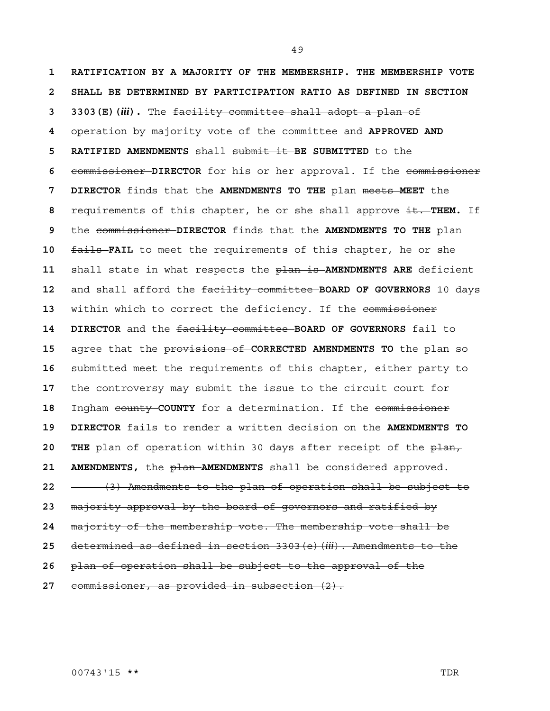**1 RATIFICATION BY A MAJORITY OF THE MEMBERSHIP. THE MEMBERSHIP VOTE 2 SHALL BE DETERMINED BY PARTICIPATION RATIO AS DEFINED IN SECTION 3 3303(E)(***iii***).** The facility committee shall adopt a plan of operation by majority vote of the committee and **APPROVED AND 5 RATIFIED AMENDMENTS** shall submit it **BE SUBMITTED** to the commissioner **DIRECTOR** for his or her approval. If the commissioner **7 DIRECTOR** finds that the **AMENDMENTS TO THE** plan meets **MEET** the requirements of this chapter, he or she shall approve it. **THEM.** If the commissioner **DIRECTOR** finds that the **AMENDMENTS TO THE** plan **fails FAIL** to meet the requirements of this chapter, he or she shall state in what respects the plan is **AMENDMENTS ARE** deficient and shall afford the facility committee **BOARD OF GOVERNORS** 10 days 13 within which to correct the deficiency. If the commissioner **14 DIRECTOR** and the facility committee **BOARD OF GOVERNORS** fail to agree that the provisions of **CORRECTED AMENDMENTS TO** the plan so submitted meet the requirements of this chapter, either party to the controversy may submit the issue to the circuit court for 18 Ingham county **COUNTY** for a determination. If the commissioner **19 DIRECTOR** fails to render a written decision on the **AMENDMENTS TO**  20 THE plan of operation within 30 days after receipt of the plan, **AMENDMENTS,** the plan **AMENDMENTS** shall be considered approved. (3) Amendments to the plan of operation shall be subject to majority approval by the board of governors and ratified by majority of the membership vote. The membership vote shall be determined as defined in section 3303(e)(*iii*). Amendments to the plan of operation shall be subject to the approval of the commissioner, as provided in subsection (2).

00743'15 \*\* TDR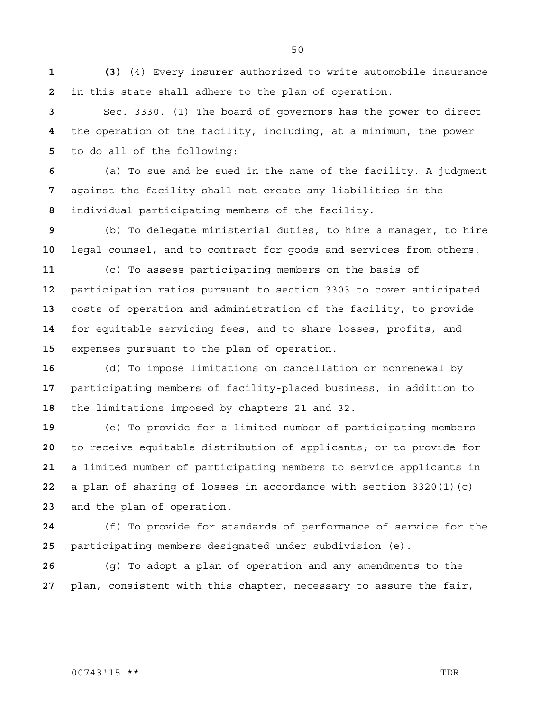**1 (3)** (4) Every insurer authorized to write automobile insurance in this state shall adhere to the plan of operation.

Sec. 3330. (1) The board of governors has the power to direct the operation of the facility, including, at a minimum, the power to do all of the following:

(a) To sue and be sued in the name of the facility. A judgment against the facility shall not create any liabilities in the individual participating members of the facility.

(b) To delegate ministerial duties, to hire a manager, to hire legal counsel, and to contract for goods and services from others.

(c) To assess participating members on the basis of participation ratios pursuant to section 3303 to cover anticipated costs of operation and administration of the facility, to provide for equitable servicing fees, and to share losses, profits, and expenses pursuant to the plan of operation.

(d) To impose limitations on cancellation or nonrenewal by participating members of facility-placed business, in addition to the limitations imposed by chapters 21 and 32.

(e) To provide for a limited number of participating members to receive equitable distribution of applicants; or to provide for a limited number of participating members to service applicants in a plan of sharing of losses in accordance with section 3320(1)(c) and the plan of operation.

(f) To provide for standards of performance of service for the participating members designated under subdivision (e).

(g) To adopt a plan of operation and any amendments to the plan, consistent with this chapter, necessary to assure the fair,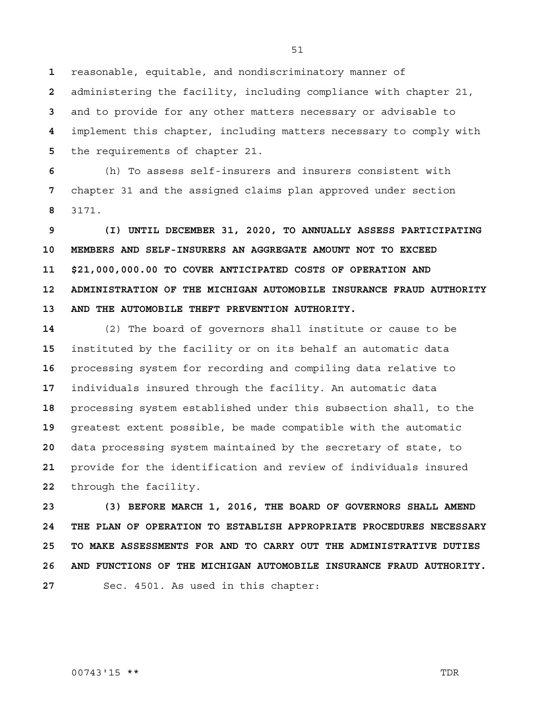reasonable, equitable, and nondiscriminatory manner of

administering the facility, including compliance with chapter 21, and to provide for any other matters necessary or advisable to implement this chapter, including matters necessary to comply with the requirements of chapter 21.

(h) To assess self-insurers and insurers consistent with chapter 31 and the assigned claims plan approved under section 3171.

**9 (I) UNTIL DECEMBER 31, 2020, TO ANNUALLY ASSESS PARTICIPATING 10 MEMBERS AND SELF-INSURERS AN AGGREGATE AMOUNT NOT TO EXCEED 11 \$21,000,000.00 TO COVER ANTICIPATED COSTS OF OPERATION AND 12 ADMINISTRATION OF THE MICHIGAN AUTOMOBILE INSURANCE FRAUD AUTHORITY 13 AND THE AUTOMOBILE THEFT PREVENTION AUTHORITY.**

(2) The board of governors shall institute or cause to be instituted by the facility or on its behalf an automatic data processing system for recording and compiling data relative to individuals insured through the facility. An automatic data processing system established under this subsection shall, to the greatest extent possible, be made compatible with the automatic data processing system maintained by the secretary of state, to provide for the identification and review of individuals insured through the facility.

**23 (3) BEFORE MARCH 1, 2016, THE BOARD OF GOVERNORS SHALL AMEND 24 THE PLAN OF OPERATION TO ESTABLISH APPROPRIATE PROCEDURES NECESSARY 25 TO MAKE ASSESSMENTS FOR AND TO CARRY OUT THE ADMINISTRATIVE DUTIES 26 AND FUNCTIONS OF THE MICHIGAN AUTOMOBILE INSURANCE FRAUD AUTHORITY.** Sec. 4501. As used in this chapter:

00743'15 \*\* TDR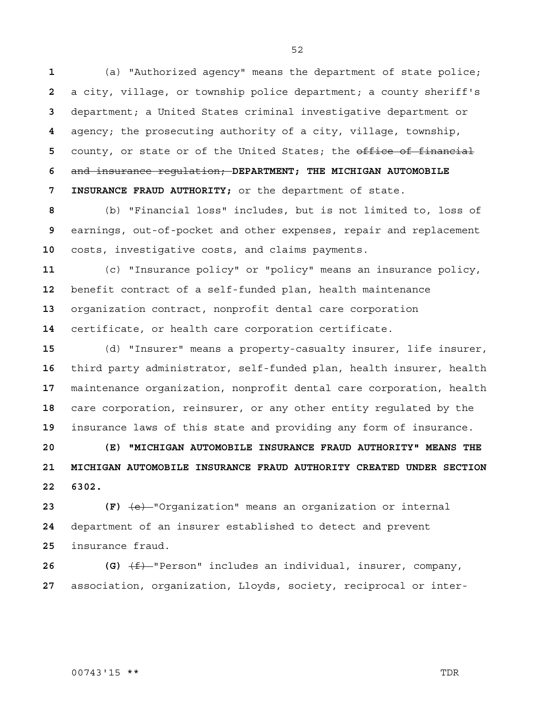(a) "Authorized agency" means the department of state police; a city, village, or township police department; a county sheriff's department; a United States criminal investigative department or agency; the prosecuting authority of a city, village, township, 5 county, or state or of the United States; the office of financial and insurance regulation; **DEPARTMENT; THE MICHIGAN AUTOMOBILE 7 INSURANCE FRAUD AUTHORITY;** or the department of state.

(b) "Financial loss" includes, but is not limited to, loss of earnings, out-of-pocket and other expenses, repair and replacement costs, investigative costs, and claims payments.

(c) "Insurance policy" or "policy" means an insurance policy, benefit contract of a self-funded plan, health maintenance organization contract, nonprofit dental care corporation certificate, or health care corporation certificate.

(d) "Insurer" means a property-casualty insurer, life insurer, third party administrator, self-funded plan, health insurer, health maintenance organization, nonprofit dental care corporation, health care corporation, reinsurer, or any other entity regulated by the insurance laws of this state and providing any form of insurance.

**20 (E) "MICHIGAN AUTOMOBILE INSURANCE FRAUD AUTHORITY" MEANS THE 21 MICHIGAN AUTOMOBILE INSURANCE FRAUD AUTHORITY CREATED UNDER SECTION 22 6302.**

**23 (F)** (e) "Organization" means an organization or internal department of an insurer established to detect and prevent insurance fraud.

**26 (G)** (f) "Person" includes an individual, insurer, company, association, organization, Lloyds, society, reciprocal or inter-

#### 00743'15 \*\* TDR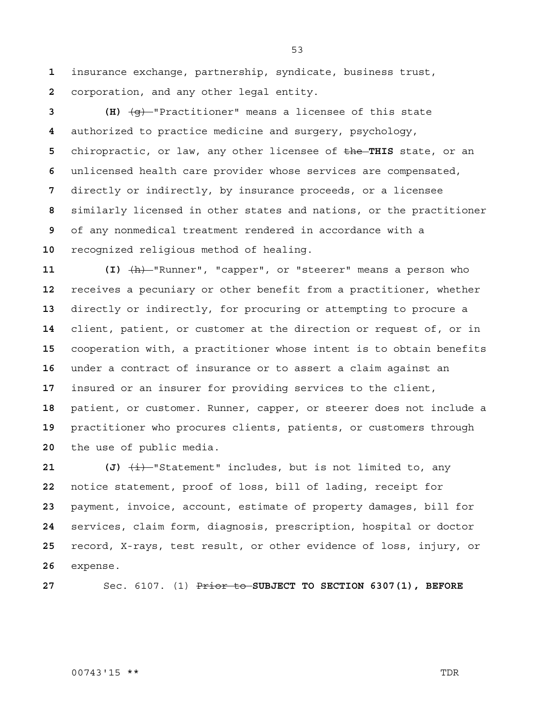insurance exchange, partnership, syndicate, business trust, corporation, and any other legal entity.

**3 (H)** (g) "Practitioner" means a licensee of this state authorized to practice medicine and surgery, psychology, chiropractic, or law, any other licensee of the **THIS** state, or an unlicensed health care provider whose services are compensated, directly or indirectly, by insurance proceeds, or a licensee similarly licensed in other states and nations, or the practitioner of any nonmedical treatment rendered in accordance with a recognized religious method of healing.

**11 (I)** (h) "Runner", "capper", or "steerer" means a person who receives a pecuniary or other benefit from a practitioner, whether directly or indirectly, for procuring or attempting to procure a client, patient, or customer at the direction or request of, or in cooperation with, a practitioner whose intent is to obtain benefits under a contract of insurance or to assert a claim against an insured or an insurer for providing services to the client, patient, or customer. Runner, capper, or steerer does not include a practitioner who procures clients, patients, or customers through the use of public media.

 (J)  $\frac{1}{2}$  statement" includes, but is not limited to, any notice statement, proof of loss, bill of lading, receipt for payment, invoice, account, estimate of property damages, bill for services, claim form, diagnosis, prescription, hospital or doctor record, X-rays, test result, or other evidence of loss, injury, or expense.

Sec. 6107. (1) Prior to **SUBJECT TO SECTION 6307(1), BEFORE** 

#### 00743'15 \*\* TDR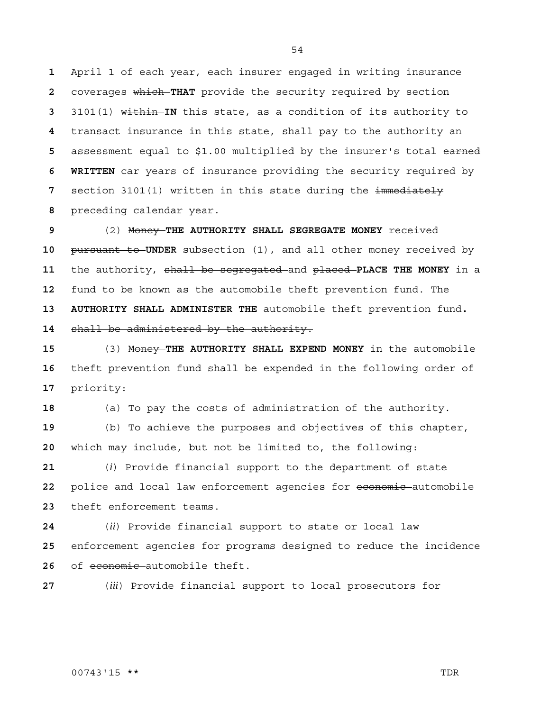April 1 of each year, each insurer engaged in writing insurance coverages which **THAT** provide the security required by section 3101(1) within **IN** this state, as a condition of its authority to transact insurance in this state, shall pay to the authority an assessment equal to \$1.00 multiplied by the insurer's total earned **6 WRITTEN** car years of insurance providing the security required by section 3101(1) written in this state during the immediately preceding calendar year.

(2) Money **THE AUTHORITY SHALL SEGREGATE MONEY** received pursuant to **UNDER** subsection (1), and all other money received by the authority, shall be segregated and placed **PLACE THE MONEY** in a fund to be known as the automobile theft prevention fund. The **13 AUTHORITY SHALL ADMINISTER THE** automobile theft prevention fund**.**  shall be administered by the authority.

(3) Money **THE AUTHORITY SHALL EXPEND MONEY** in the automobile 16 theft prevention fund shall be expended in the following order of priority:

(a) To pay the costs of administration of the authority.

(b) To achieve the purposes and objectives of this chapter, which may include, but not be limited to, the following:

(*i*) Provide financial support to the department of state police and local law enforcement agencies for economic automobile theft enforcement teams.

(*ii*) Provide financial support to state or local law enforcement agencies for programs designed to reduce the incidence 26 of economic automobile theft.

(*iii*) Provide financial support to local prosecutors for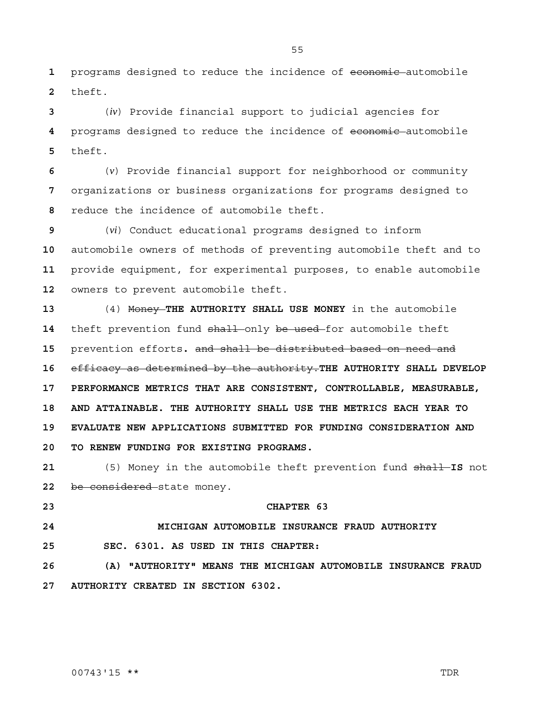1 programs designed to reduce the incidence of economic automobile **2** theft.

**3** (*iv*) Provide financial support to judicial agencies for **4** programs designed to reduce the incidence of economic automobile **5** theft.

**6** (*v*) Provide financial support for neighborhood or community **7** organizations or business organizations for programs designed to **8** reduce the incidence of automobile theft.

(*vi*) Conduct educational programs designed to inform automobile owners of methods of preventing automobile theft and to provide equipment, for experimental purposes, to enable automobile owners to prevent automobile theft.

**13** (4) Money **THE AUTHORITY SHALL USE MONEY** in the automobile 14 theft prevention fund shall only be used for automobile theft **15** prevention efforts**.** and shall be distributed based on need and **16** efficacy as determined by the authority.**THE AUTHORITY SHALL DEVELOP 17 PERFORMANCE METRICS THAT ARE CONSISTENT, CONTROLLABLE, MEASURABLE, 18 AND ATTAINABLE. THE AUTHORITY SHALL USE THE METRICS EACH YEAR TO 19 EVALUATE NEW APPLICATIONS SUBMITTED FOR FUNDING CONSIDERATION AND 20 TO RENEW FUNDING FOR EXISTING PROGRAMS.**

**21** (5) Money in the automobile theft prevention fund shall **IS** not 22 be considered state money.

### **23 CHAPTER 63**

## **24 MICHIGAN AUTOMOBILE INSURANCE FRAUD AUTHORITY**

**25 SEC. 6301. AS USED IN THIS CHAPTER:**

**26 (A) "AUTHORITY" MEANS THE MICHIGAN AUTOMOBILE INSURANCE FRAUD 27 AUTHORITY CREATED IN SECTION 6302.**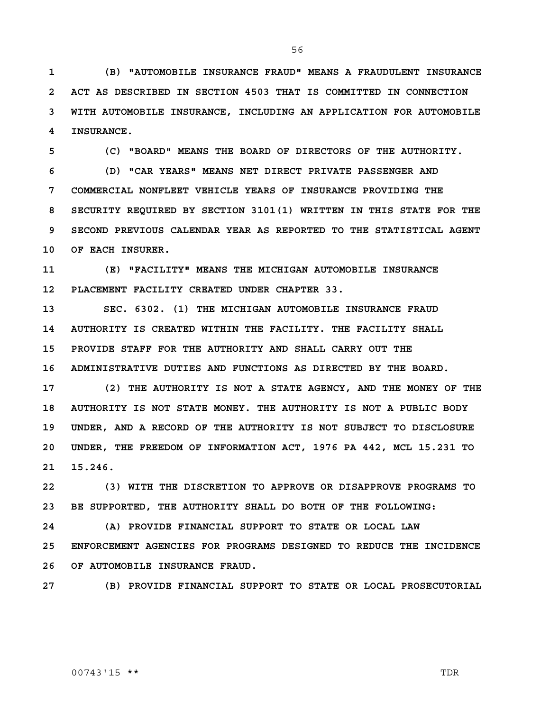**1 (B) "AUTOMOBILE INSURANCE FRAUD" MEANS A FRAUDULENT INSURANCE 2 ACT AS DESCRIBED IN SECTION 4503 THAT IS COMMITTED IN CONNECTION 3 WITH AUTOMOBILE INSURANCE, INCLUDING AN APPLICATION FOR AUTOMOBILE 4 INSURANCE.** 

**5 (C) "BOARD" MEANS THE BOARD OF DIRECTORS OF THE AUTHORITY. 6 (D) "CAR YEARS" MEANS NET DIRECT PRIVATE PASSENGER AND 7 COMMERCIAL NONFLEET VEHICLE YEARS OF INSURANCE PROVIDING THE 8 SECURITY REQUIRED BY SECTION 3101(1) WRITTEN IN THIS STATE FOR THE 9 SECOND PREVIOUS CALENDAR YEAR AS REPORTED TO THE STATISTICAL AGENT 10 OF EACH INSURER.** 

**11 (E) "FACILITY" MEANS THE MICHIGAN AUTOMOBILE INSURANCE 12 PLACEMENT FACILITY CREATED UNDER CHAPTER 33.** 

**13 SEC. 6302. (1) THE MICHIGAN AUTOMOBILE INSURANCE FRAUD 14 AUTHORITY IS CREATED WITHIN THE FACILITY. THE FACILITY SHALL 15 PROVIDE STAFF FOR THE AUTHORITY AND SHALL CARRY OUT THE 16 ADMINISTRATIVE DUTIES AND FUNCTIONS AS DIRECTED BY THE BOARD.**

**17 (2) THE AUTHORITY IS NOT A STATE AGENCY, AND THE MONEY OF THE 18 AUTHORITY IS NOT STATE MONEY. THE AUTHORITY IS NOT A PUBLIC BODY 19 UNDER, AND A RECORD OF THE AUTHORITY IS NOT SUBJECT TO DISCLOSURE 20 UNDER, THE FREEDOM OF INFORMATION ACT, 1976 PA 442, MCL 15.231 TO 21 15.246.** 

**22 (3) WITH THE DISCRETION TO APPROVE OR DISAPPROVE PROGRAMS TO 23 BE SUPPORTED, THE AUTHORITY SHALL DO BOTH OF THE FOLLOWING:**

**24 (A) PROVIDE FINANCIAL SUPPORT TO STATE OR LOCAL LAW 25 ENFORCEMENT AGENCIES FOR PROGRAMS DESIGNED TO REDUCE THE INCIDENCE 26 OF AUTOMOBILE INSURANCE FRAUD.**

**27 (B) PROVIDE FINANCIAL SUPPORT TO STATE OR LOCAL PROSECUTORIAL** 

#### 00743'15 \*\* TDR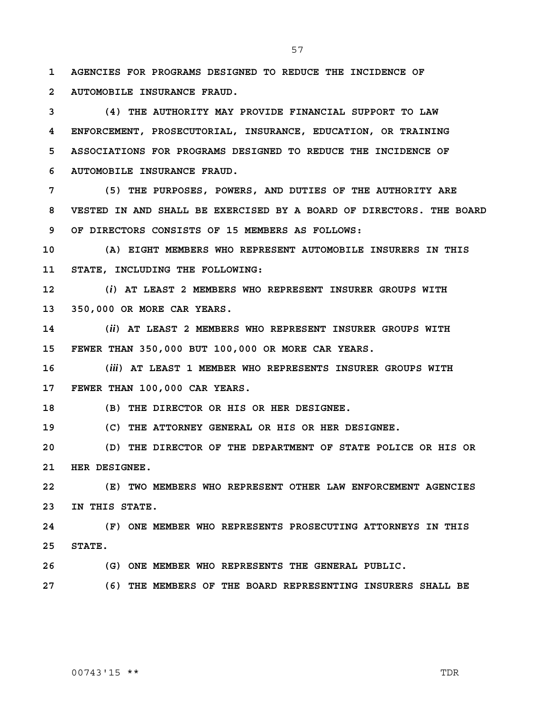**1 AGENCIES FOR PROGRAMS DESIGNED TO REDUCE THE INCIDENCE OF 2 AUTOMOBILE INSURANCE FRAUD.**

**3 (4) THE AUTHORITY MAY PROVIDE FINANCIAL SUPPORT TO LAW 4 ENFORCEMENT, PROSECUTORIAL, INSURANCE, EDUCATION, OR TRAINING 5 ASSOCIATIONS FOR PROGRAMS DESIGNED TO REDUCE THE INCIDENCE OF 6 AUTOMOBILE INSURANCE FRAUD.** 

**7 (5) THE PURPOSES, POWERS, AND DUTIES OF THE AUTHORITY ARE 8 VESTED IN AND SHALL BE EXERCISED BY A BOARD OF DIRECTORS. THE BOARD 9 OF DIRECTORS CONSISTS OF 15 MEMBERS AS FOLLOWS:**

**10 (A) EIGHT MEMBERS WHO REPRESENT AUTOMOBILE INSURERS IN THIS 11 STATE, INCLUDING THE FOLLOWING:**

**12 (***i***) AT LEAST 2 MEMBERS WHO REPRESENT INSURER GROUPS WITH 13 350,000 OR MORE CAR YEARS.**

**14 (***ii***) AT LEAST 2 MEMBERS WHO REPRESENT INSURER GROUPS WITH 15 FEWER THAN 350,000 BUT 100,000 OR MORE CAR YEARS.**

**16 (***iii***) AT LEAST 1 MEMBER WHO REPRESENTS INSURER GROUPS WITH 17 FEWER THAN 100,000 CAR YEARS.**

**18 (B) THE DIRECTOR OR HIS OR HER DESIGNEE.**

**19 (C) THE ATTORNEY GENERAL OR HIS OR HER DESIGNEE.**

**20 (D) THE DIRECTOR OF THE DEPARTMENT OF STATE POLICE OR HIS OR 21 HER DESIGNEE.**

**22 (E) TWO MEMBERS WHO REPRESENT OTHER LAW ENFORCEMENT AGENCIES 23 IN THIS STATE.**

**24 (F) ONE MEMBER WHO REPRESENTS PROSECUTING ATTORNEYS IN THIS 25 STATE.**

**26 (G) ONE MEMBER WHO REPRESENTS THE GENERAL PUBLIC.**

**27 (6) THE MEMBERS OF THE BOARD REPRESENTING INSURERS SHALL BE** 

#### 00743'15 \*\* TDR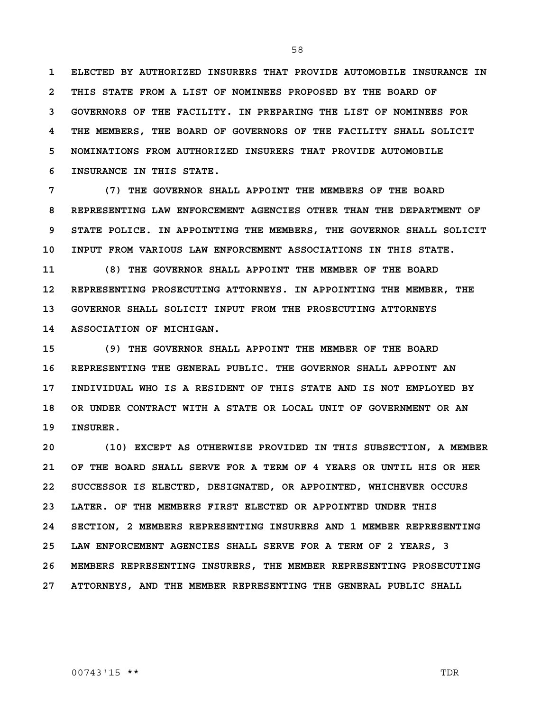**1 ELECTED BY AUTHORIZED INSURERS THAT PROVIDE AUTOMOBILE INSURANCE IN 2 THIS STATE FROM A LIST OF NOMINEES PROPOSED BY THE BOARD OF 3 GOVERNORS OF THE FACILITY. IN PREPARING THE LIST OF NOMINEES FOR 4 THE MEMBERS, THE BOARD OF GOVERNORS OF THE FACILITY SHALL SOLICIT 5 NOMINATIONS FROM AUTHORIZED INSURERS THAT PROVIDE AUTOMOBILE 6 INSURANCE IN THIS STATE.**

**7 (7) THE GOVERNOR SHALL APPOINT THE MEMBERS OF THE BOARD 8 REPRESENTING LAW ENFORCEMENT AGENCIES OTHER THAN THE DEPARTMENT OF 9 STATE POLICE. IN APPOINTING THE MEMBERS, THE GOVERNOR SHALL SOLICIT 10 INPUT FROM VARIOUS LAW ENFORCEMENT ASSOCIATIONS IN THIS STATE.**

**11 (8) THE GOVERNOR SHALL APPOINT THE MEMBER OF THE BOARD 12 REPRESENTING PROSECUTING ATTORNEYS. IN APPOINTING THE MEMBER, THE 13 GOVERNOR SHALL SOLICIT INPUT FROM THE PROSECUTING ATTORNEYS 14 ASSOCIATION OF MICHIGAN.**

**15 (9) THE GOVERNOR SHALL APPOINT THE MEMBER OF THE BOARD 16 REPRESENTING THE GENERAL PUBLIC. THE GOVERNOR SHALL APPOINT AN 17 INDIVIDUAL WHO IS A RESIDENT OF THIS STATE AND IS NOT EMPLOYED BY 18 OR UNDER CONTRACT WITH A STATE OR LOCAL UNIT OF GOVERNMENT OR AN 19 INSURER.**

**20 (10) EXCEPT AS OTHERWISE PROVIDED IN THIS SUBSECTION, A MEMBER 21 OF THE BOARD SHALL SERVE FOR A TERM OF 4 YEARS OR UNTIL HIS OR HER 22 SUCCESSOR IS ELECTED, DESIGNATED, OR APPOINTED, WHICHEVER OCCURS 23 LATER. OF THE MEMBERS FIRST ELECTED OR APPOINTED UNDER THIS 24 SECTION, 2 MEMBERS REPRESENTING INSURERS AND 1 MEMBER REPRESENTING 25 LAW ENFORCEMENT AGENCIES SHALL SERVE FOR A TERM OF 2 YEARS, 3 26 MEMBERS REPRESENTING INSURERS, THE MEMBER REPRESENTING PROSECUTING 27 ATTORNEYS, AND THE MEMBER REPRESENTING THE GENERAL PUBLIC SHALL**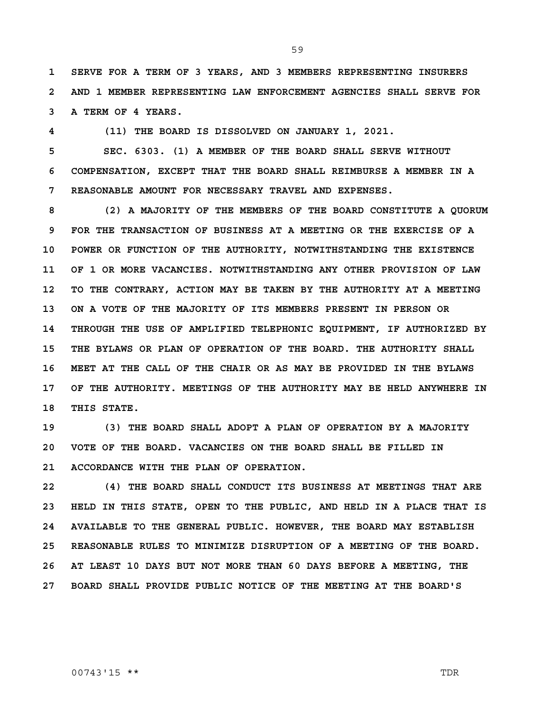**1 SERVE FOR A TERM OF 3 YEARS, AND 3 MEMBERS REPRESENTING INSURERS 2 AND 1 MEMBER REPRESENTING LAW ENFORCEMENT AGENCIES SHALL SERVE FOR 3 A TERM OF 4 YEARS.**

**4 (11) THE BOARD IS DISSOLVED ON JANUARY 1, 2021.**

**5 SEC. 6303. (1) A MEMBER OF THE BOARD SHALL SERVE WITHOUT 6 COMPENSATION, EXCEPT THAT THE BOARD SHALL REIMBURSE A MEMBER IN A 7 REASONABLE AMOUNT FOR NECESSARY TRAVEL AND EXPENSES.**

**8 (2) A MAJORITY OF THE MEMBERS OF THE BOARD CONSTITUTE A QUORUM 9 FOR THE TRANSACTION OF BUSINESS AT A MEETING OR THE EXERCISE OF A 10 POWER OR FUNCTION OF THE AUTHORITY, NOTWITHSTANDING THE EXISTENCE 11 OF 1 OR MORE VACANCIES. NOTWITHSTANDING ANY OTHER PROVISION OF LAW 12 TO THE CONTRARY, ACTION MAY BE TAKEN BY THE AUTHORITY AT A MEETING 13 ON A VOTE OF THE MAJORITY OF ITS MEMBERS PRESENT IN PERSON OR 14 THROUGH THE USE OF AMPLIFIED TELEPHONIC EQUIPMENT, IF AUTHORIZED BY 15 THE BYLAWS OR PLAN OF OPERATION OF THE BOARD. THE AUTHORITY SHALL 16 MEET AT THE CALL OF THE CHAIR OR AS MAY BE PROVIDED IN THE BYLAWS 17 OF THE AUTHORITY. MEETINGS OF THE AUTHORITY MAY BE HELD ANYWHERE IN 18 THIS STATE.**

**19 (3) THE BOARD SHALL ADOPT A PLAN OF OPERATION BY A MAJORITY 20 VOTE OF THE BOARD. VACANCIES ON THE BOARD SHALL BE FILLED IN 21 ACCORDANCE WITH THE PLAN OF OPERATION.**

**22 (4) THE BOARD SHALL CONDUCT ITS BUSINESS AT MEETINGS THAT ARE 23 HELD IN THIS STATE, OPEN TO THE PUBLIC, AND HELD IN A PLACE THAT IS 24 AVAILABLE TO THE GENERAL PUBLIC. HOWEVER, THE BOARD MAY ESTABLISH 25 REASONABLE RULES TO MINIMIZE DISRUPTION OF A MEETING OF THE BOARD. 26 AT LEAST 10 DAYS BUT NOT MORE THAN 60 DAYS BEFORE A MEETING, THE 27 BOARD SHALL PROVIDE PUBLIC NOTICE OF THE MEETING AT THE BOARD'S**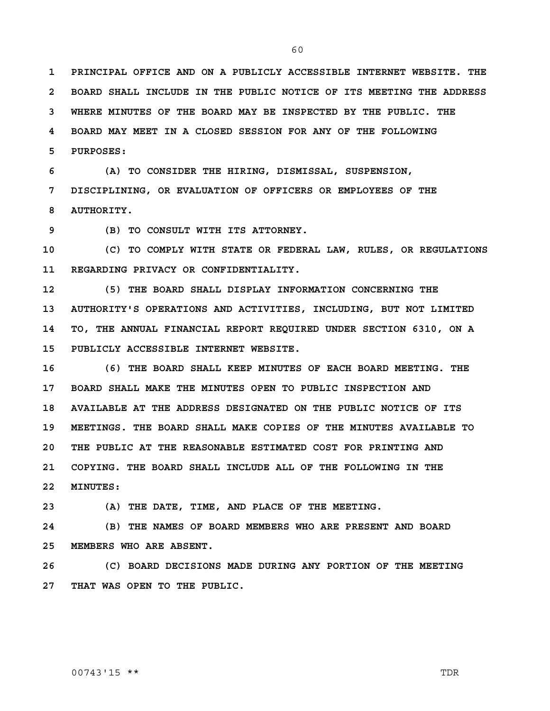**1 PRINCIPAL OFFICE AND ON A PUBLICLY ACCESSIBLE INTERNET WEBSITE. THE 2 BOARD SHALL INCLUDE IN THE PUBLIC NOTICE OF ITS MEETING THE ADDRESS 3 WHERE MINUTES OF THE BOARD MAY BE INSPECTED BY THE PUBLIC. THE 4 BOARD MAY MEET IN A CLOSED SESSION FOR ANY OF THE FOLLOWING 5 PURPOSES:**

**6 (A) TO CONSIDER THE HIRING, DISMISSAL, SUSPENSION, 7 DISCIPLINING, OR EVALUATION OF OFFICERS OR EMPLOYEES OF THE 8 AUTHORITY.**

**9 (B) TO CONSULT WITH ITS ATTORNEY.**

**10 (C) TO COMPLY WITH STATE OR FEDERAL LAW, RULES, OR REGULATIONS 11 REGARDING PRIVACY OR CONFIDENTIALITY.**

**12 (5) THE BOARD SHALL DISPLAY INFORMATION CONCERNING THE 13 AUTHORITY'S OPERATIONS AND ACTIVITIES, INCLUDING, BUT NOT LIMITED 14 TO, THE ANNUAL FINANCIAL REPORT REQUIRED UNDER SECTION 6310, ON A 15 PUBLICLY ACCESSIBLE INTERNET WEBSITE.**

**16 (6) THE BOARD SHALL KEEP MINUTES OF EACH BOARD MEETING. THE 17 BOARD SHALL MAKE THE MINUTES OPEN TO PUBLIC INSPECTION AND 18 AVAILABLE AT THE ADDRESS DESIGNATED ON THE PUBLIC NOTICE OF ITS 19 MEETINGS. THE BOARD SHALL MAKE COPIES OF THE MINUTES AVAILABLE TO 20 THE PUBLIC AT THE REASONABLE ESTIMATED COST FOR PRINTING AND 21 COPYING. THE BOARD SHALL INCLUDE ALL OF THE FOLLOWING IN THE 22 MINUTES:**

**23 (A) THE DATE, TIME, AND PLACE OF THE MEETING.**

**24 (B) THE NAMES OF BOARD MEMBERS WHO ARE PRESENT AND BOARD 25 MEMBERS WHO ARE ABSENT.**

**26 (C) BOARD DECISIONS MADE DURING ANY PORTION OF THE MEETING 27 THAT WAS OPEN TO THE PUBLIC.**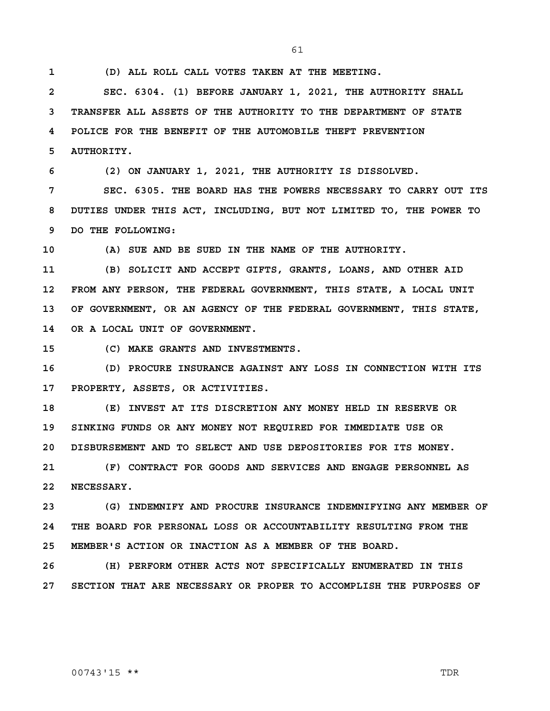61

**1 (D) ALL ROLL CALL VOTES TAKEN AT THE MEETING.**

**2 SEC. 6304. (1) BEFORE JANUARY 1, 2021, THE AUTHORITY SHALL 3 TRANSFER ALL ASSETS OF THE AUTHORITY TO THE DEPARTMENT OF STATE 4 POLICE FOR THE BENEFIT OF THE AUTOMOBILE THEFT PREVENTION 5 AUTHORITY.**

**6 (2) ON JANUARY 1, 2021, THE AUTHORITY IS DISSOLVED.**

**7 SEC. 6305. THE BOARD HAS THE POWERS NECESSARY TO CARRY OUT ITS 8 DUTIES UNDER THIS ACT, INCLUDING, BUT NOT LIMITED TO, THE POWER TO 9 DO THE FOLLOWING:**

**10 (A) SUE AND BE SUED IN THE NAME OF THE AUTHORITY.**

**11 (B) SOLICIT AND ACCEPT GIFTS, GRANTS, LOANS, AND OTHER AID 12 FROM ANY PERSON, THE FEDERAL GOVERNMENT, THIS STATE, A LOCAL UNIT 13 OF GOVERNMENT, OR AN AGENCY OF THE FEDERAL GOVERNMENT, THIS STATE, 14 OR A LOCAL UNIT OF GOVERNMENT.**

**15 (C) MAKE GRANTS AND INVESTMENTS.**

**16 (D) PROCURE INSURANCE AGAINST ANY LOSS IN CONNECTION WITH ITS 17 PROPERTY, ASSETS, OR ACTIVITIES.**

**18 (E) INVEST AT ITS DISCRETION ANY MONEY HELD IN RESERVE OR 19 SINKING FUNDS OR ANY MONEY NOT REQUIRED FOR IMMEDIATE USE OR 20 DISBURSEMENT AND TO SELECT AND USE DEPOSITORIES FOR ITS MONEY.**

**21 (F) CONTRACT FOR GOODS AND SERVICES AND ENGAGE PERSONNEL AS 22 NECESSARY.**

**23 (G) INDEMNIFY AND PROCURE INSURANCE INDEMNIFYING ANY MEMBER OF 24 THE BOARD FOR PERSONAL LOSS OR ACCOUNTABILITY RESULTING FROM THE 25 MEMBER'S ACTION OR INACTION AS A MEMBER OF THE BOARD.**

**26 (H) PERFORM OTHER ACTS NOT SPECIFICALLY ENUMERATED IN THIS 27 SECTION THAT ARE NECESSARY OR PROPER TO ACCOMPLISH THE PURPOSES OF**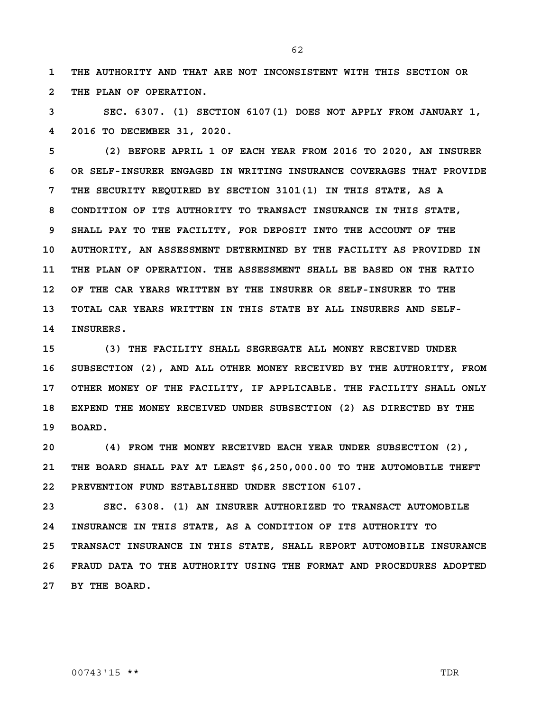**1 THE AUTHORITY AND THAT ARE NOT INCONSISTENT WITH THIS SECTION OR 2 THE PLAN OF OPERATION.**

**3 SEC. 6307. (1) SECTION 6107(1) DOES NOT APPLY FROM JANUARY 1, 4 2016 TO DECEMBER 31, 2020.**

**5 (2) BEFORE APRIL 1 OF EACH YEAR FROM 2016 TO 2020, AN INSURER 6 OR SELF-INSURER ENGAGED IN WRITING INSURANCE COVERAGES THAT PROVIDE 7 THE SECURITY REQUIRED BY SECTION 3101(1) IN THIS STATE, AS A 8 CONDITION OF ITS AUTHORITY TO TRANSACT INSURANCE IN THIS STATE, 9 SHALL PAY TO THE FACILITY, FOR DEPOSIT INTO THE ACCOUNT OF THE 10 AUTHORITY, AN ASSESSMENT DETERMINED BY THE FACILITY AS PROVIDED IN 11 THE PLAN OF OPERATION. THE ASSESSMENT SHALL BE BASED ON THE RATIO 12 OF THE CAR YEARS WRITTEN BY THE INSURER OR SELF-INSURER TO THE 13 TOTAL CAR YEARS WRITTEN IN THIS STATE BY ALL INSURERS AND SELF-14 INSURERS.**

**15 (3) THE FACILITY SHALL SEGREGATE ALL MONEY RECEIVED UNDER 16 SUBSECTION (2), AND ALL OTHER MONEY RECEIVED BY THE AUTHORITY, FROM 17 OTHER MONEY OF THE FACILITY, IF APPLICABLE. THE FACILITY SHALL ONLY 18 EXPEND THE MONEY RECEIVED UNDER SUBSECTION (2) AS DIRECTED BY THE 19 BOARD.**

**20 (4) FROM THE MONEY RECEIVED EACH YEAR UNDER SUBSECTION (2), 21 THE BOARD SHALL PAY AT LEAST \$6,250,000.00 TO THE AUTOMOBILE THEFT 22 PREVENTION FUND ESTABLISHED UNDER SECTION 6107.**

**23 SEC. 6308. (1) AN INSURER AUTHORIZED TO TRANSACT AUTOMOBILE 24 INSURANCE IN THIS STATE, AS A CONDITION OF ITS AUTHORITY TO 25 TRANSACT INSURANCE IN THIS STATE, SHALL REPORT AUTOMOBILE INSURANCE 26 FRAUD DATA TO THE AUTHORITY USING THE FORMAT AND PROCEDURES ADOPTED 27 BY THE BOARD.**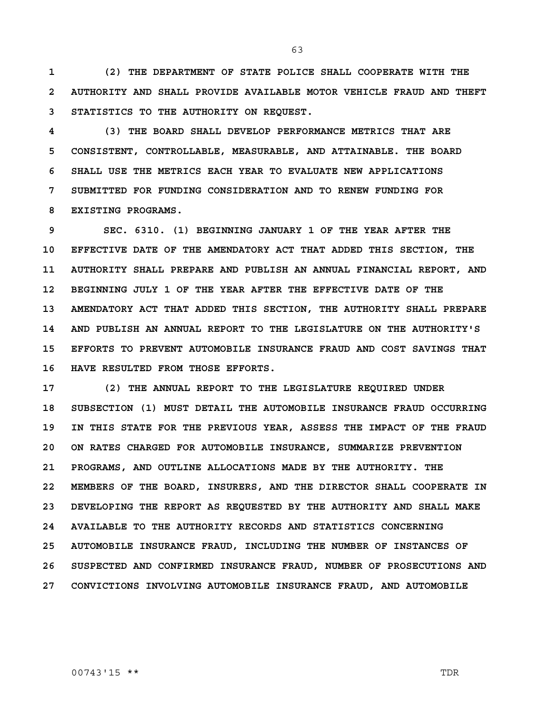**1 (2) THE DEPARTMENT OF STATE POLICE SHALL COOPERATE WITH THE 2 AUTHORITY AND SHALL PROVIDE AVAILABLE MOTOR VEHICLE FRAUD AND THEFT 3 STATISTICS TO THE AUTHORITY ON REQUEST.**

**4 (3) THE BOARD SHALL DEVELOP PERFORMANCE METRICS THAT ARE 5 CONSISTENT, CONTROLLABLE, MEASURABLE, AND ATTAINABLE. THE BOARD 6 SHALL USE THE METRICS EACH YEAR TO EVALUATE NEW APPLICATIONS 7 SUBMITTED FOR FUNDING CONSIDERATION AND TO RENEW FUNDING FOR 8 EXISTING PROGRAMS.**

**9 SEC. 6310. (1) BEGINNING JANUARY 1 OF THE YEAR AFTER THE 10 EFFECTIVE DATE OF THE AMENDATORY ACT THAT ADDED THIS SECTION, THE 11 AUTHORITY SHALL PREPARE AND PUBLISH AN ANNUAL FINANCIAL REPORT, AND 12 BEGINNING JULY 1 OF THE YEAR AFTER THE EFFECTIVE DATE OF THE 13 AMENDATORY ACT THAT ADDED THIS SECTION, THE AUTHORITY SHALL PREPARE 14 AND PUBLISH AN ANNUAL REPORT TO THE LEGISLATURE ON THE AUTHORITY'S 15 EFFORTS TO PREVENT AUTOMOBILE INSURANCE FRAUD AND COST SAVINGS THAT 16 HAVE RESULTED FROM THOSE EFFORTS.**

**17 (2) THE ANNUAL REPORT TO THE LEGISLATURE REQUIRED UNDER 18 SUBSECTION (1) MUST DETAIL THE AUTOMOBILE INSURANCE FRAUD OCCURRING 19 IN THIS STATE FOR THE PREVIOUS YEAR, ASSESS THE IMPACT OF THE FRAUD 20 ON RATES CHARGED FOR AUTOMOBILE INSURANCE, SUMMARIZE PREVENTION 21 PROGRAMS, AND OUTLINE ALLOCATIONS MADE BY THE AUTHORITY. THE 22 MEMBERS OF THE BOARD, INSURERS, AND THE DIRECTOR SHALL COOPERATE IN 23 DEVELOPING THE REPORT AS REQUESTED BY THE AUTHORITY AND SHALL MAKE 24 AVAILABLE TO THE AUTHORITY RECORDS AND STATISTICS CONCERNING 25 AUTOMOBILE INSURANCE FRAUD, INCLUDING THE NUMBER OF INSTANCES OF 26 SUSPECTED AND CONFIRMED INSURANCE FRAUD, NUMBER OF PROSECUTIONS AND 27 CONVICTIONS INVOLVING AUTOMOBILE INSURANCE FRAUD, AND AUTOMOBILE** 

00743'15 \*\* TDR